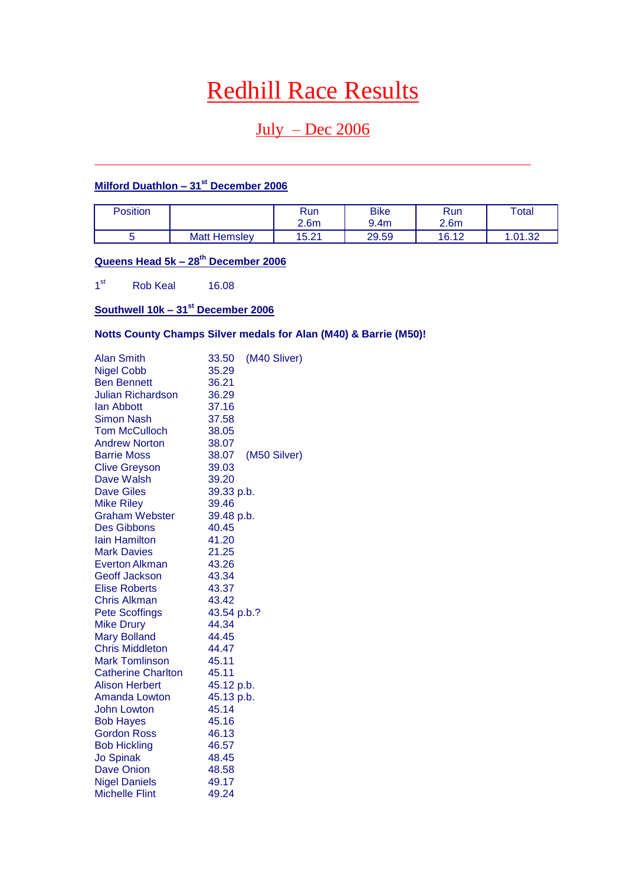# Redhill Race Results

## $July - Dec 2006$

### **Milford Duathlon – 31st December 2006**

| Position |                     | Run<br>2.6m | <b>Bike</b><br>9.4m | <b>Run</b><br>2.6 <sub>m</sub> | Total  |
|----------|---------------------|-------------|---------------------|--------------------------------|--------|
|          | <b>Matt Hemsley</b> | 15.21       | 29.59               | 16.12                          | .01.32 |

### **Queens Head 5k – 28th December 2006**

 $1<sup>st</sup>$ Rob Keal 16.08

### **Southwell 10k – 31st December 2006**

### **Notts County Champs Silver medals for Alan (M40) & Barrie (M50)!**

| <b>Alan Smith</b>         | 33.50       | (M40 Sliver) |
|---------------------------|-------------|--------------|
| <b>Nigel Cobb</b>         | 35.29       |              |
| <b>Ben Bennett</b>        | 36.21       |              |
| Julian Richardson         | 36.29       |              |
| lan Abbott                | 37.16       |              |
| Simon Nash                | 37.58       |              |
| <b>Tom McCulloch</b>      | 38.05       |              |
| <b>Andrew Norton</b>      | 38.07       |              |
| <b>Barrie Moss</b>        | 38.07       | (M50 Silver) |
| <b>Clive Greyson</b>      | 39.03       |              |
| Dave Walsh                | 39.20       |              |
| <b>Dave Giles</b>         | 39.33 p.b.  |              |
| <b>Mike Riley</b>         | 39.46       |              |
| <b>Graham Webster</b>     | 39.48 p.b.  |              |
| <b>Des Gibbons</b>        | 40.45       |              |
| <b>lain Hamilton</b>      | 41.20       |              |
| <b>Mark Davies</b>        | 21.25       |              |
| Everton Alkman            | 43.26       |              |
| <b>Geoff Jackson</b>      | 43.34       |              |
| <b>Elise Roberts</b>      | 43.37       |              |
| Chris Alkman              | 43.42       |              |
| <b>Pete Scoffings</b>     | 43.54 p.b.? |              |
| <b>Mike Drury</b>         | 44.34       |              |
| <b>Mary Bolland</b>       | 44.45       |              |
| <b>Chris Middleton</b>    | 44.47       |              |
| <b>Mark Tomlinson</b>     | 45.11       |              |
| <b>Catherine Charlton</b> | 45.11       |              |
| <b>Alison Herbert</b>     | 45.12 p.b.  |              |
| Amanda Lowton             | 45.13 p.b.  |              |
| John Lowton               | 45.14       |              |
| <b>Bob Hayes</b>          | 45.16       |              |
| <b>Gordon Ross</b>        | 46.13       |              |
| <b>Bob Hickling</b>       | 46.57       |              |
| <b>Jo Spinak</b>          | 48.45       |              |
| Dave Onion                | 48.58       |              |
| <b>Nigel Daniels</b>      | 49.17       |              |
| <b>Michelle Flint</b>     | 49.24       |              |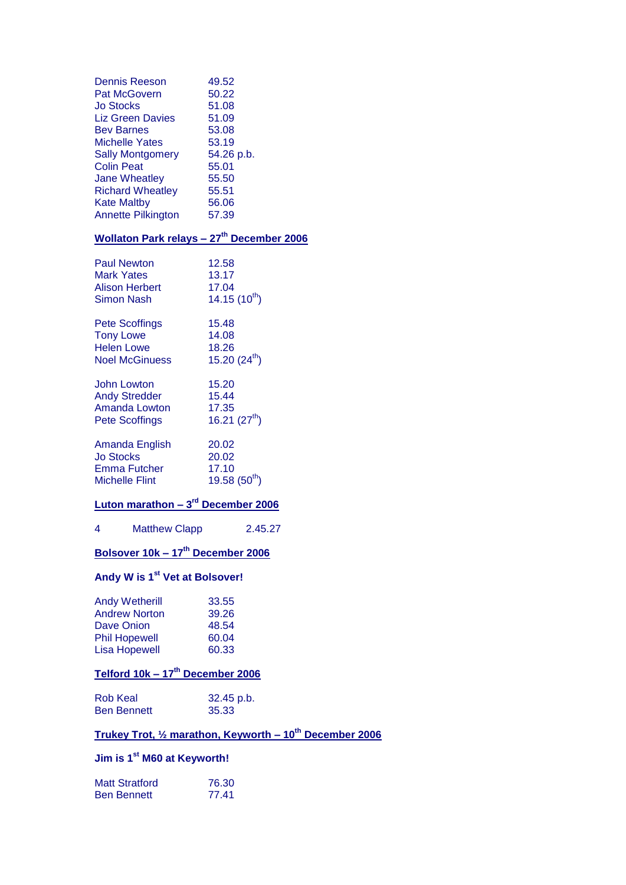| Dennis Reeson<br>Pat McGovern<br><b>Jo Stocks</b><br>Liz Green Davies<br><b>Bev Barnes</b><br>Michelle Yates<br><b>Sally Montgomery</b><br><b>Colin Peat</b><br>Jane Wheatley<br><b>Richard Wheatley</b><br><b>Kate Maltby</b><br>Annette Pilkington | 49.52<br>50.22<br>51.08<br>51.09<br>53.08<br>53.19<br>54.26 p.b.<br>55.01<br>55.50<br>55.51<br>56.06<br>57.39 |
|------------------------------------------------------------------------------------------------------------------------------------------------------------------------------------------------------------------------------------------------------|---------------------------------------------------------------------------------------------------------------|
| <u> Wollaton Park relays – 27<sup>th</sup> December 2006</u>                                                                                                                                                                                         |                                                                                                               |
| <b>Paul Newton</b><br><b>Mark Yates</b><br><b>Alison Herbert</b><br><b>Simon Nash</b>                                                                                                                                                                | 12.58<br>13.17<br>17.04<br>$14.15(10^{th})$                                                                   |
| Pete Scoffings<br><b>Tony Lowe</b><br><b>Helen Lowe</b><br><b>Noel McGinuess</b>                                                                                                                                                                     | 15.48<br>14.08<br>18.26<br>15.20 $(24^{th})$                                                                  |
| <b>John Lowton</b><br><b>Andy Stredder</b><br><b>Amanda Lowton</b><br><b>Pete Scoffings</b>                                                                                                                                                          | 15.20<br>15.44<br>17.35<br>16.21 $(27th)$                                                                     |
| Amanda English<br>Jo Stocks<br>Jo Croc<br>Emma Futcher<br><b>Michelle Flint</b>                                                                                                                                                                      | 20.02<br>20.02<br>17.10<br>19.58 $(50^{th})$                                                                  |
| Luton marathon - 3 <sup>rd</sup> December 2006                                                                                                                                                                                                       |                                                                                                               |
| 4<br><b>Matthew Clapp</b>                                                                                                                                                                                                                            | 2.45.27                                                                                                       |
| <u> Bolsover 10k – 17<sup>th</sup> December 2006</u>                                                                                                                                                                                                 |                                                                                                               |
| Andy W is 1 <sup>st</sup> Vet at Bolsover!                                                                                                                                                                                                           |                                                                                                               |
| <b>Andy Wetherill</b><br><b>Andrew Norton</b><br><b>Dave Onion</b><br><b>Phil Hopewell</b><br><b>Lisa Hopewell</b><br><u> Telford 10k – 17<sup>th</sup> December 2006</u>                                                                            | 33.55<br>39.26<br>48.54<br>60.04<br>60.33                                                                     |
| <b>Rob Keal</b>                                                                                                                                                                                                                                      | 32.45 p.b.                                                                                                    |
| <b>Ben Bennett</b>                                                                                                                                                                                                                                   | 35.33                                                                                                         |
|                                                                                                                                                                                                                                                      |                                                                                                               |

## **Trukey Trot, ½ marathon, Keyworth – 10th December 2006**

## **Jim is 1st M60 at Keyworth!**

| <b>Matt Stratford</b> | 76.30 |
|-----------------------|-------|
| <b>Ben Bennett</b>    | 77.41 |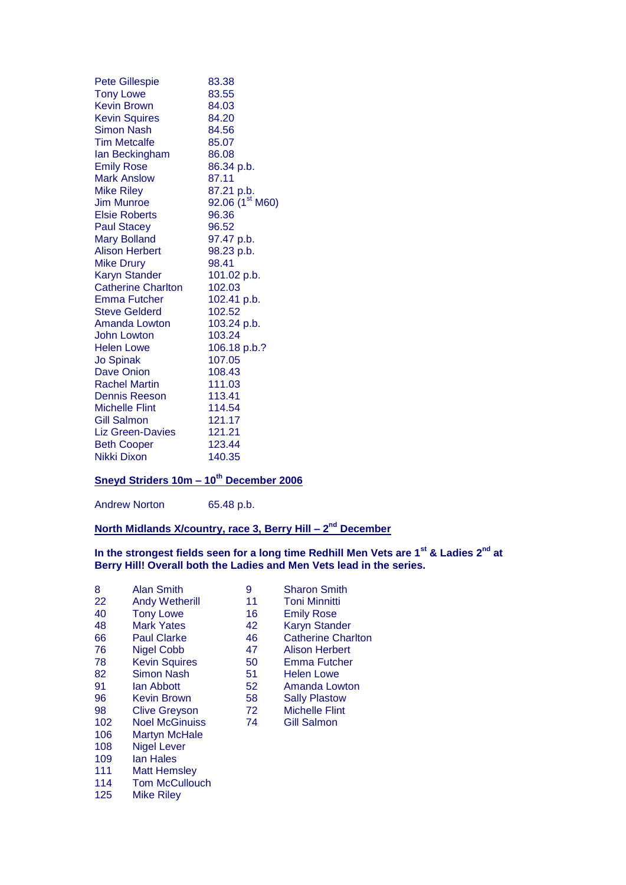| <b>Pete Gillespie</b>     | 83.38                       |
|---------------------------|-----------------------------|
| <b>Tony Lowe</b>          | 83.55                       |
| <b>Kevin Brown</b>        | 84.03                       |
| <b>Kevin Squires</b>      | 84.20                       |
| Simon Nash                | 84.56                       |
| <b>Tim Metcalfe</b>       | 85.07                       |
| lan Beckingham            | 86.08                       |
| <b>Emily Rose</b>         | 86.34 p.b.                  |
| <b>Mark Anslow</b>        | 87.11                       |
| <b>Mike Riley</b>         | 87.21 p.b.                  |
| Jim Munroe                | 92.06 (1 <sup>st</sup> M60) |
| <b>Elsie Roberts</b>      | 96.36                       |
| <b>Paul Stacey</b>        | 96.52                       |
| <b>Mary Bolland</b>       | 97.47 p.b.                  |
| <b>Alison Herbert</b>     | 98.23 p.b.                  |
| <b>Mike Drury</b>         | 98.41                       |
| <b>Karyn Stander</b>      | 101.02 p.b.                 |
| <b>Catherine Charlton</b> | 102.03                      |
| Emma Futcher              | 102.41 p.b.                 |
| <b>Steve Gelderd</b>      | 102.52                      |
| Amanda Lowton             | 103.24 p.b.                 |
| John Lowton               | 103.24                      |
| <b>Helen Lowe</b>         | 106.18 p.b.?                |
| <b>Jo Spinak</b>          | 107.05                      |
| Dave Onion                | 108.43                      |
| <b>Rachel Martin</b>      | 111.03                      |
| <b>Dennis Reeson</b>      | 113.41                      |
| <b>Michelle Flint</b>     | 114.54                      |
| <b>Gill Salmon</b>        | 121.17                      |
| <b>Liz Green-Davies</b>   | 121.21                      |
| <b>Beth Cooper</b>        | 123.44                      |
| Nikki Dixon               | 140.35                      |

### **Sneyd Striders 10m – 10th December 2006**

Andrew Norton 65.48 p.b.

#### **North Midlands X/country, race 3, Berry Hill – 2<sup>nd</sup> December**

### **In the strongest fields seen for a long time Redhill Men Vets are 1st & Ladies 2nd at Berry Hill! Overall both the Ladies and Men Vets lead in the series.**

| 8   | Alan Smith            | 9  | <b>Sharon Sm</b>    |
|-----|-----------------------|----|---------------------|
| 22  | <b>Andy Wetherill</b> | 11 | <b>Toni Minnit</b>  |
| 40  | <b>Tony Lowe</b>      | 16 | <b>Emily Rose</b>   |
| 48  | <b>Mark Yates</b>     | 42 | <b>Karyn Stan</b>   |
| 66  | <b>Paul Clarke</b>    | 46 | <b>Catherine C</b>  |
| 76  | <b>Nigel Cobb</b>     | 47 | <b>Alison Herb</b>  |
| 78  | <b>Kevin Squires</b>  | 50 | <b>Emma Futd</b>    |
| 82  | <b>Simon Nash</b>     | 51 | <b>Helen Lowe</b>   |
| 91  | lan Abbott            | 52 | Amanda Lo           |
| 96  | <b>Kevin Brown</b>    | 58 | <b>Sally Plasto</b> |
| 98  | <b>Clive Greyson</b>  | 72 | Michelle Fli        |
| 102 | <b>Noel McGinuiss</b> | 74 | <b>Gill Salmon</b>  |
| 106 | <b>Martyn McHale</b>  |    |                     |
| 108 | Nigel Lever           |    |                     |
| 109 | <b>lan Hales</b>      |    |                     |
| 111 | <b>Matt Hemsley</b>   |    |                     |
| 114 | <b>Tom McCullouch</b> |    |                     |
| 125 | Mike Riley            |    |                     |

8 Alan Smith 9 Sharon Smith rill 11 Toni Minnitti 48 Mark Yates 42 Karyn Stander 46 Catherine Charlton<br>47 Alison Herbert 47 Alison Herbert<br>50 Emma Futcher FREMMA Futcher<br>1981 Helen Lowe 51 Helen Lowe<br>52 Amanda Low Amanda Lowton 58 Sally Plastow<br>72 Michelle Flint 98 Clive Greyson 72 Michelle Flint 2<br>
102 T<sup>4</sup> Gill Salmon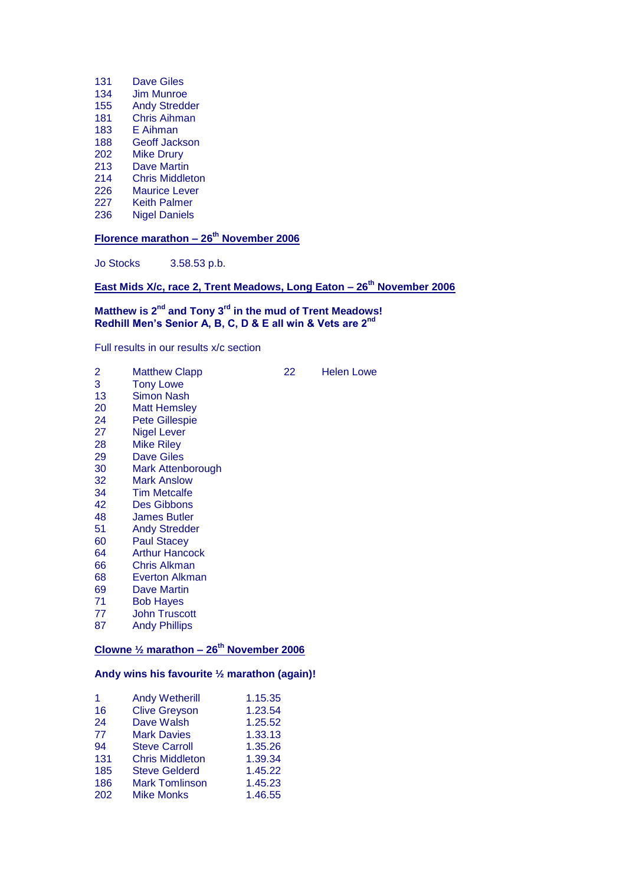- Dave Giles
- Jim Munroe Andy Stredder
- Chris Aihman
- E Aihman
- Geoff Jackson
- 
- 202 Mike Drury<br>213 Dave Martir
- 213 Dave Martin<br>214 Chris Middle
- 214 Chris Middleton<br>226 Maurice Lever Maurice Lever
- 
- 227 Keith Palmer<br>236 Nigel Daniels **Nigel Daniels**

**Florence marathon – 26th November 2006**

Jo Stocks 3.58.53 p.b.

**East Mids X/c, race 2, Trent Meadows, Long Eaton – 26th November 2006**

#### **Matthew is 2nd and Tony 3rd in the mud of Trent Meadows! Redhill Men's Senior A, B, C, D & E all win & Vets are 2nd**

Full results in our results x/c section

| 2  | <b>Matthew Clapp</b>                                           | 22 | <b>Helen Lowe</b> |
|----|----------------------------------------------------------------|----|-------------------|
| 3  | <b>Tony Lowe</b>                                               |    |                   |
| 13 | <b>Simon Nash</b>                                              |    |                   |
| 20 | <b>Matt Hemsley</b>                                            |    |                   |
| 24 | <b>Pete Gillespie</b>                                          |    |                   |
| 27 | Nigel Lever                                                    |    |                   |
| 28 | Mike Riley                                                     |    |                   |
| 29 | <b>Dave Giles</b>                                              |    |                   |
| 30 | Mark Attenborough                                              |    |                   |
| 32 | <b>Mark Anslow</b>                                             |    |                   |
| 34 | <b>Tim Metcalfe</b>                                            |    |                   |
| 42 | Des Gibbons                                                    |    |                   |
| 48 | James Butler                                                   |    |                   |
| 51 | <b>Andy Stredder</b>                                           |    |                   |
| 60 | <b>Paul Stacey</b>                                             |    |                   |
| 64 | <b>Arthur Hancock</b>                                          |    |                   |
| 66 | Chris Alkman                                                   |    |                   |
| 68 | <b>Everton Alkman</b>                                          |    |                   |
| 69 | Dave Martin                                                    |    |                   |
| 71 | <b>Bob Hayes</b>                                               |    |                   |
| 77 | <b>John Truscott</b>                                           |    |                   |
| 87 | <b>Andy Phillips</b>                                           |    |                   |
|    | Clowne $\frac{1}{2}$ marathon - 26 <sup>th</sup> November 2006 |    |                   |

### **Andy wins his favourite ½ marathon (again)!**

| 1.  | <b>Andy Wetherill</b>  | 1.15.35 |
|-----|------------------------|---------|
| 16  | <b>Clive Greyson</b>   | 1.23.54 |
| 24  | Dave Walsh             | 1.25.52 |
| 77  | <b>Mark Davies</b>     | 1.33.13 |
| 94  | <b>Steve Carroll</b>   | 1.35.26 |
| 131 | <b>Chris Middleton</b> | 1.39.34 |
| 185 | <b>Steve Gelderd</b>   | 1.45.22 |
| 186 | <b>Mark Tomlinson</b>  | 1.45.23 |
| 202 | <b>Mike Monks</b>      | 1.46.55 |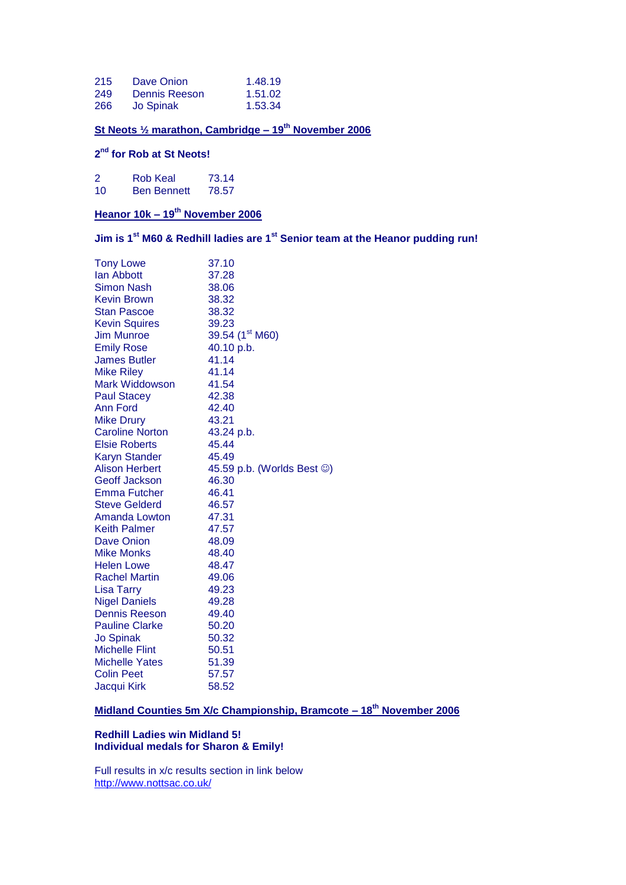| 215 | Dave Onion    | 1.48.19 |
|-----|---------------|---------|
| 249 | Dennis Reeson | 1.51.02 |
| 266 | Jo Spinak     | 1.53.34 |

### **St Neots ½ marathon, Cambridge – 19th November 2006**

#### **2 nd for Rob at St Neots!**

| 2  | Rob Keal           | 73.14 |
|----|--------------------|-------|
| 10 | <b>Ben Bennett</b> | 78.57 |

### **Heanor 10k – 19th November 2006**

**Jim is 1st M60 & Redhill ladies are 1st Senior team at the Heanor pudding run!**

| <b>Tony Lowe</b>       | 37.10                                    |
|------------------------|------------------------------------------|
| lan Abbott             | 37.28                                    |
| Simon Nash             | 38.06                                    |
| <b>Kevin Brown</b>     | 38.32                                    |
| <b>Stan Pascoe</b>     | 38.32                                    |
| <b>Kevin Squires</b>   | 39.23                                    |
| <b>Jim Munroe</b>      | 39.54 (1 <sup>st</sup> M60)              |
| <b>Emily Rose</b>      | 40.10 p.b.                               |
| <b>James Butler</b>    | 41.14                                    |
| <b>Mike Riley</b>      | 41.14                                    |
| <b>Mark Widdowson</b>  | 41.54                                    |
| <b>Paul Stacey</b>     | 42.38                                    |
| Ann Ford               | 42.40                                    |
| <b>Mike Drury</b>      | 43.21                                    |
| <b>Caroline Norton</b> | 43.24 p.b.                               |
| <b>Elsie Roberts</b>   | 45.44                                    |
| <b>Karyn Stander</b>   | 45.49                                    |
| <b>Alison Herbert</b>  | 45.59 p.b. (Worlds Best $\circledcirc$ ) |
| <b>Geoff Jackson</b>   | 46.30                                    |
| <b>Emma Futcher</b>    | 46.41                                    |
| <b>Steve Gelderd</b>   | 46.57                                    |
| Amanda Lowton          | 47.31                                    |
| <b>Keith Palmer</b>    | 47.57                                    |
| Dave Onion             | 48.09                                    |
| <b>Mike Monks</b>      | 48.40                                    |
| <b>Helen Lowe</b>      | 48.47                                    |
| <b>Rachel Martin</b>   | 49.06                                    |
| <b>Lisa Tarry</b>      | 49.23                                    |
| <b>Nigel Daniels</b>   | 49.28                                    |
| <b>Dennis Reeson</b>   | 49.40                                    |
| <b>Pauline Clarke</b>  | 50.20                                    |
| <b>Jo Spinak</b>       | 50.32                                    |
| <b>Michelle Flint</b>  | 50.51                                    |
| <b>Michelle Yates</b>  | 51.39                                    |
| <b>Colin Peet</b>      | 57.57                                    |
| Jacqui Kirk            | 58.52                                    |

### **Midland Counties 5m X/c Championship, Bramcote – 18th November 2006**

#### **Redhill Ladies win Midland 5! Individual medals for Sharon & Emily!**

Full results in x/c results section in link below <http://www.nottsac.co.uk/>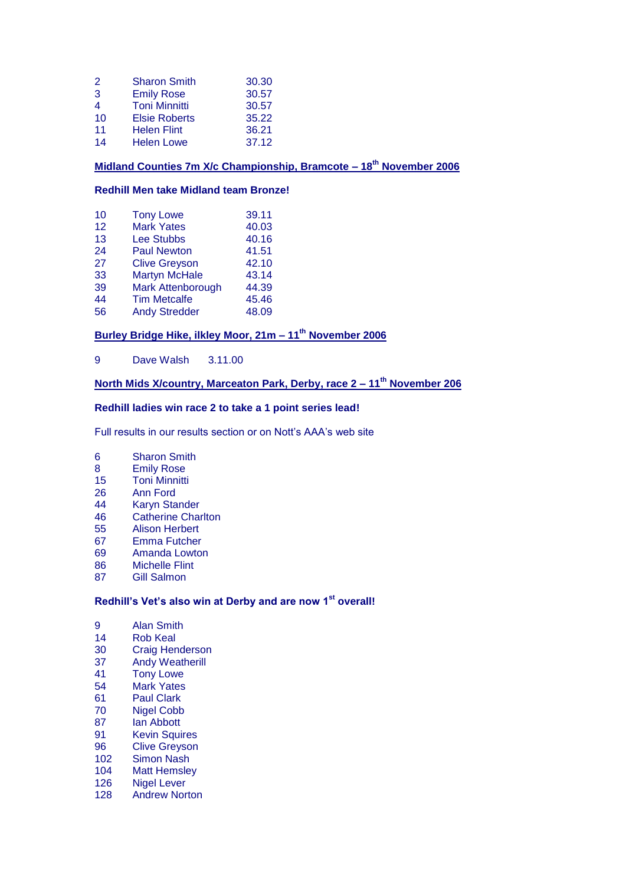| 2                        | <b>Sharon Smith</b>  | 30.30 |
|--------------------------|----------------------|-------|
| 3                        | <b>Emily Rose</b>    | 30.57 |
| $\overline{\mathcal{A}}$ | <b>Toni Minnitti</b> | 30.57 |
| 10                       | <b>Elsie Roberts</b> | 35.22 |
| 11                       | <b>Helen Flint</b>   | 36.21 |
| 14                       | <b>Helen Lowe</b>    | 37.12 |

### **Midland Counties 7m X/c Championship, Bramcote – 18th November 2006**

#### **Redhill Men take Midland team Bronze!**

| 10 | <b>Tony Lowe</b>     | 39.11 |
|----|----------------------|-------|
| 12 | <b>Mark Yates</b>    | 40.03 |
| 13 | <b>Lee Stubbs</b>    | 40.16 |
| 24 | <b>Paul Newton</b>   | 41.51 |
| 27 | <b>Clive Greyson</b> | 42.10 |
| 33 | <b>Martyn McHale</b> | 43.14 |
| 39 | Mark Attenborough    | 44.39 |
| 44 | <b>Tim Metcalfe</b>  | 45.46 |
| 56 | <b>Andy Stredder</b> | 48.09 |

### **Burley Bridge Hike, ilkley Moor, 21m – 11th November 2006**

Dave Walsh 3.11.00

### **North Mids X/country, Marceaton Park, Derby, race 2 – 11th November 206**

#### **Redhill ladies win race 2 to take a 1 point series lead!**

Full results in our results section or on Nott's AAA's web site

- Sharon Smith
- Emily Rose
- Toni Minnitti
- Ann Ford
- Karyn Stander
- Catherine Charlton
- Alison Herbert
- Emma Futcher
- Amanda Lowton
- Michelle Flint
- Gill Salmon

### **Redhill's Vet's also win at Derby and are now 1st overall!**

- 9 Alan Smith<br>14 Rob Keal
- 14 Rob Keal<br>30 Craig Her
- **Craig Henderson**
- 37 Andy Weatherill<br>41 Tony Lowe
- 41 Tony Lowe<br>54 Mark Yates
- Mark Yates
- Paul Clark
- Nigel Cobb
- Ian Abbott
- Kevin Squires
- Clive Greyson
- Simon Nash
- Matt Hemsley
- Nigel Lever
- Andrew Norton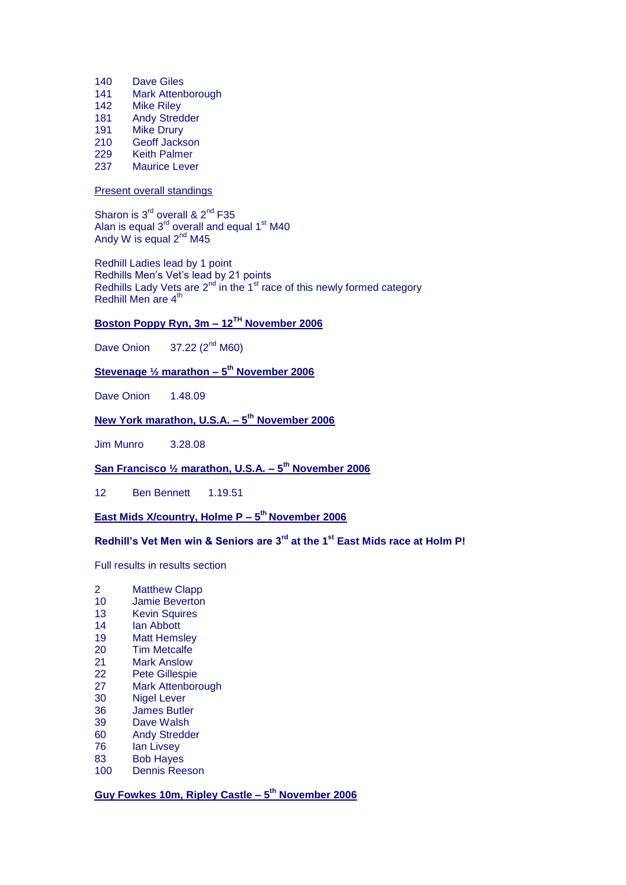- 140 Dave Giles
- 141 Mark Attenborough
- 142 Mike Riley
- 181 Andy Stredder
- 191 Mike Drury
- 210 Geoff Jackson
- 229 Keith Palmer<br>237 Maurice Leve
- Maurice Lever

#### Present overall standings

Sharon is  $3<sup>rd</sup>$  overall &  $2<sup>nd</sup>$  F35 Alan is equal  $3^{rd}$  overall and equal 1<sup>st</sup> M40 Andy W is equal  $2<sup>nd</sup> M45$ 

Redhill Ladies lead by 1 point Redhills Men's Vet's lead by 21 points Redhills Lady Vets are  $2^{nd}$  in the  $1^{st}$  race of this newly formed category Redhill Men are 4<sup>th</sup>

### **Boston Poppy Ryn, 3m – 12TH November 2006**

Dave Onion  $37.22$  ( $2<sup>nd</sup> M60$ )

#### **Stevenage ½ marathon – 5 th November 2006**

Dave Onion 1.48.09

### **New York marathon, U.S.A. – 5 th November 2006**

Jim Munro 3.28.08

#### **San Francisco ½ marathon, U.S.A. – 5 th November 2006**

12 Ben Bennett 1.19.51

### **East Mids X/country, Holme P – 5 th November 2006**

### **Redhill's Vet Men win & Seniors are 3rd at the 1st East Mids race at Holm P!**

Full results in results section

- 2 Matthew Clapp
- 10 Jamie Beverton
- 13 Kevin Squires
- 14 Ian Abbott
- 19 Matt Hemsley
- 20 Tim Metcalfe
- 21 Mark Anslow<br>22 Pete Gillespie
- Pete Gillespie
- 27 Mark Attenborough
- 30 Nigel Lever
- 36 James Butler
- 39 Dave Walsh
- 60 Andy Stredder
- 76 Ian Livsey
- 83 Bob Hayes
- 100 Dennis Reeson

**Guy Fowkes 10m, Ripley Castle – 5 th November 2006**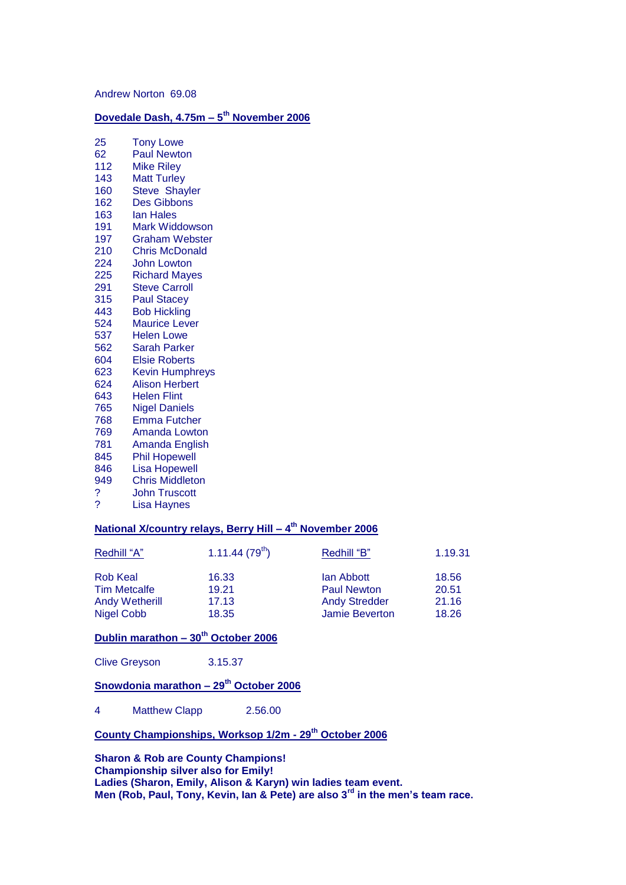Andrew Norton 69.08

#### **Dovedale Dash, 4.75m – 5 th November 2006**

| 25   | Tony Lowe              |
|------|------------------------|
| 62   | <b>Paul Newton</b>     |
| 112  | <b>Mike Riley</b>      |
| 143  | <b>Matt Turley</b>     |
| 160  | <b>Steve Shayler</b>   |
| 162  | <b>Des Gibbons</b>     |
| 163  | <b>lan Hales</b>       |
| 191  | <b>Mark Widdowson</b>  |
| 197  | <b>Graham Webster</b>  |
| 210  | <b>Chris McDonald</b>  |
| 224. | John Lowton            |
| 225  | <b>Richard Mayes</b>   |
| 291  | <b>Steve Carroll</b>   |
| 315  | <b>Paul Stacey</b>     |
| 443. | <b>Bob Hickling</b>    |
| 524  | <b>Maurice Lever</b>   |
| 537  | <b>Helen Lowe</b>      |
| 562  | <b>Sarah Parker</b>    |
| 604  | <b>Elsie Roberts</b>   |
| 623. | <b>Kevin Humphreys</b> |
| 624  | <b>Alison Herbert</b>  |
| 643  | <b>Helen Flint</b>     |
| 765  | <b>Nigel Daniels</b>   |
| 768  | <b>Emma Futcher</b>    |
| 769  | <b>Amanda Lowton</b>   |
| 781  | <b>Amanda English</b>  |
| 845  | <b>Phil Hopewell</b>   |
| 846  | <b>Lisa Hopewell</b>   |
| 949  | <b>Chris Middleton</b> |
| ?    | John Truscott          |
| ?    | Lisa Haynes            |

### **National X/country relays, Berry Hill – 4 th November 2006**

| Redhill "A"           | 1.11.44(79 <sup>th</sup> ) | Redhill "B"          | 1.19.31 |
|-----------------------|----------------------------|----------------------|---------|
| <b>Rob Keal</b>       | 16.33                      | lan Abbott           | 18.56   |
| <b>Tim Metcalfe</b>   | 19.21                      | <b>Paul Newton</b>   | 20.51   |
| <b>Andy Wetherill</b> | 17.13                      | <b>Andy Stredder</b> | 21.16   |
| <b>Nigel Cobb</b>     | 18.35                      | Jamie Beverton       | 18.26   |

### **Dublin marathon – 30th October 2006**

| <b>Clive Greyson</b> | 3.15.37 |
|----------------------|---------|
|----------------------|---------|

### **Snowdonia marathon – 29th October 2006**

Matthew Clapp 2.56.00

### **County Championships, Worksop 1/2m - 29th October 2006**

**Sharon & Rob are County Champions! Championship silver also for Emily! Ladies (Sharon, Emily, Alison & Karyn) win ladies team event. Men (Rob, Paul, Tony, Kevin, Ian & Pete) are also 3rd in the men's team race.**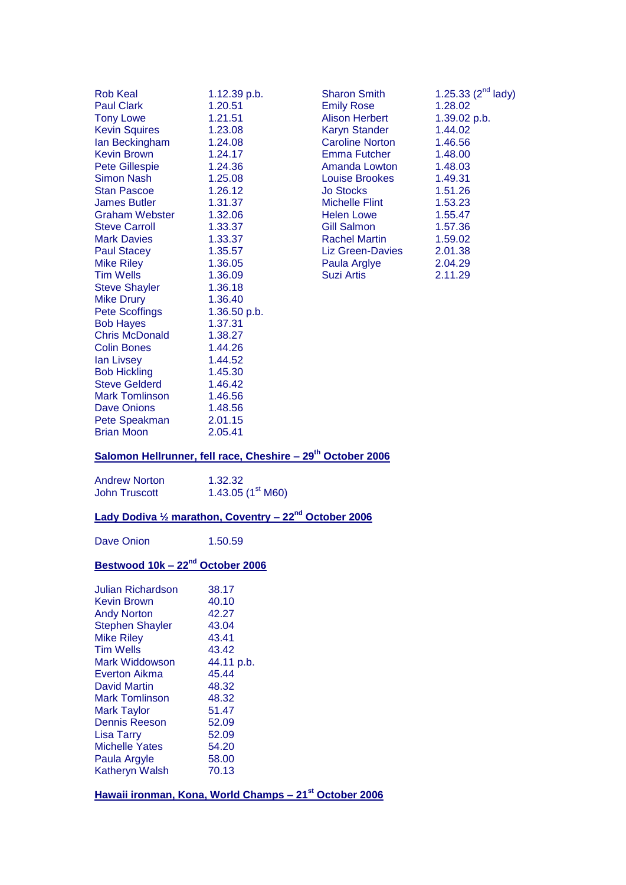| Rob Keal              | 1.12.39 p.b.   | Sharon Smith            | $1.25.33(2^{\circ\circ}$ |
|-----------------------|----------------|-------------------------|--------------------------|
| <b>Paul Clark</b>     | 1.20.51        | <b>Emily Rose</b>       | 1.28.02                  |
| <b>Tony Lowe</b>      | 1.21.51        | <b>Alison Herbert</b>   | 1.39.02 p.b.             |
| <b>Kevin Squires</b>  | 1.23.08        | <b>Karyn Stander</b>    | 1.44.02                  |
| Ian Beckingham        | 1.24.08        | <b>Caroline Norton</b>  | 1.46.56                  |
| <b>Kevin Brown</b>    | 1.24.17        | <b>Emma Futcher</b>     | 1.48.00                  |
| <b>Pete Gillespie</b> | 1.24.36        | <b>Amanda Lowton</b>    | 1.48.03                  |
| Simon Nash            | 1.25.08        | <b>Louise Brookes</b>   | 1.49.31                  |
| <b>Stan Pascoe</b>    | 1.26.12        | <b>Jo Stocks</b>        | 1.51.26                  |
| <b>James Butler</b>   | 1.31.37        | <b>Michelle Flint</b>   | 1.53.23                  |
| <b>Graham Webster</b> | 1.32.06        | <b>Helen Lowe</b>       | 1.55.47                  |
| <b>Steve Carroll</b>  | 1.33.37        | <b>Gill Salmon</b>      | 1.57.36                  |
| <b>Mark Davies</b>    | 1.33.37        | <b>Rachel Martin</b>    | 1.59.02                  |
| <b>Paul Stacey</b>    | 1.35.57        | <b>Liz Green-Davies</b> | 2.01.38                  |
| <b>Mike Riley</b>     | 1.36.05        | Paula Arglye            | 2.04.29                  |
| <b>Tim Wells</b>      | 1.36.09        | <b>Suzi Artis</b>       | 2.11.29                  |
| <b>Steve Shayler</b>  | 1.36.18        |                         |                          |
| <b>Mike Drury</b>     | 1.36.40        |                         |                          |
| <b>Pete Scoffings</b> | $1.36.50$ p.b. |                         |                          |
| <b>Bob Hayes</b>      | 1.37.31        |                         |                          |
| <b>Chris McDonald</b> | 1.38.27        |                         |                          |
| <b>Colin Bones</b>    | 1.44.26        |                         |                          |
| lan Livsey            | 1.44.52        |                         |                          |
| <b>Bob Hickling</b>   | 1.45.30        |                         |                          |
| <b>Steve Gelderd</b>  | 1.46.42        |                         |                          |
| <b>Mark Tomlinson</b> | 1.46.56        |                         |                          |
| <b>Dave Onions</b>    | 1.48.56        |                         |                          |
| Pete Speakman         | 2.01.15        |                         |                          |
| <b>Brian Moon</b>     | 2.05.41        |                         |                          |
|                       |                |                         |                          |

| <b>Rob Keal</b>       | 1.12.39 p.b. | <b>Sharon Smith</b>     | 1.25.33 $(2^{nd}$ lady) |
|-----------------------|--------------|-------------------------|-------------------------|
| <b>Paul Clark</b>     | 1.20.51      | <b>Emily Rose</b>       | 1.28.02                 |
| <b>Tony Lowe</b>      | 1.21.51      | <b>Alison Herbert</b>   | 1.39.02 p.b.            |
| <b>Kevin Squires</b>  | 1.23.08      | <b>Karyn Stander</b>    | 1.44.02                 |
| lan Beckingham        | 1.24.08      | <b>Caroline Norton</b>  | 1.46.56                 |
| Kevin Brown           | 1.24.17      | Emma Futcher            | 1.48.00                 |
| <b>Pete Gillespie</b> | 1.24.36      | Amanda Lowton           | 1.48.03                 |
| <b>Simon Nash</b>     | 1.25.08      | <b>Louise Brookes</b>   | 1.49.31                 |
| Stan Pascoe           | 1.26.12      | <b>Jo Stocks</b>        | 1.51.26                 |
| James Butler          | 1.31.37      | <b>Michelle Flint</b>   | 1.53.23                 |
| Graham Webster        | 1.32.06      | <b>Helen Lowe</b>       | 1.55.47                 |
| <b>Steve Carroll</b>  | 1.33.37      | Gill Salmon             | 1.57.36                 |
| <b>Mark Davies</b>    | 1.33.37      | <b>Rachel Martin</b>    | 1.59.02                 |
| <b>Paul Stacey</b>    | 1.35.57      | <b>Liz Green-Davies</b> | 2.01.38                 |
| Mike Riley            | 1.36.05      | Paula Arglye            | 2.04.29                 |
| Tim Wells             | 1.36.09      | <b>Suzi Artis</b>       | 2.11.29                 |
|                       |              |                         |                         |

### **Salomon Hellrunner, fell race, Cheshire – 29th October 2006**

| <b>Andrew Norton</b> | 1.32.32             |
|----------------------|---------------------|
| John Truscott        | 1.43.05 $(1st M60)$ |

## **Lady Dodiva ½ marathon, Coventry – 22nd October 2006**

Dave Onion 1.50.59

### **Bestwood 10k – 22nd October 2006**

| Julian Richardson      | 38.17      |
|------------------------|------------|
| Kevin Brown            | 40.10      |
| <b>Andy Norton</b>     | 42.27      |
| <b>Stephen Shayler</b> | 43.04      |
| <b>Mike Riley</b>      | 43.41      |
| Tim Wells              | 43.42      |
| Mark Widdowson         | 44.11 p.b. |
| Everton Aikma          | 45.44      |
| David Martin           | 48.32      |
| <b>Mark Tomlinson</b>  | 48.32      |
| <b>Mark Taylor</b>     | 51.47      |
| <b>Dennis Reeson</b>   | 52.09      |
| Lisa Tarry             | 52.09      |
| <b>Michelle Yates</b>  | 54.20      |
| Paula Argyle           | 58.00      |
| <b>Katheryn Walsh</b>  | 70.13      |

**Hawaii ironman, Kona, World Champs – 21st October 2006**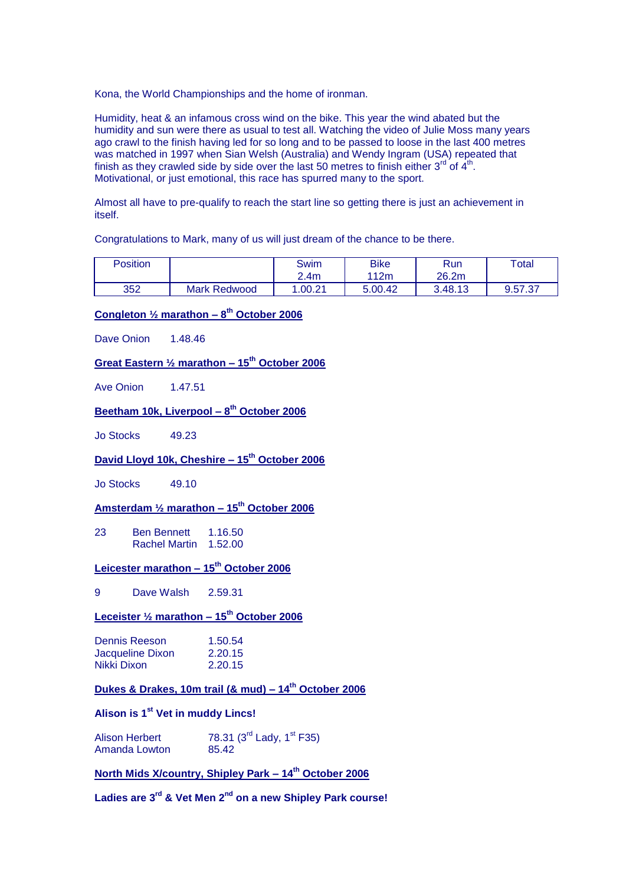Kona, the World Championships and the home of ironman.

Humidity, heat & an infamous cross wind on the bike. This year the wind abated but the humidity and sun were there as usual to test all. Watching the video of Julie Moss many years ago crawl to the finish having led for so long and to be passed to loose in the last 400 metres was matched in 1997 when Sian Welsh (Australia) and Wendy Ingram (USA) repeated that finish as they crawled side by side over the last 50 metres to finish either 3<sup>rd</sup> of 4<sup>th</sup>. Motivational, or just emotional, this race has spurred many to the sport.

Almost all have to pre-qualify to reach the start line so getting there is just an achievement in itself.

Congratulations to Mark, many of us will just dream of the chance to be there.

| <b>Position</b> |                     | <b>Swim</b><br>2.4 <sub>m</sub> | <b>Bike</b><br>112m | <b>Run</b><br>26.2m | $\tau$ <sub>otal</sub> |
|-----------------|---------------------|---------------------------------|---------------------|---------------------|------------------------|
| 352             | <b>Mark Redwood</b> | .00.21                          | 5.00.42             | 3.48.13             | 9.57.37                |

### **Congleton ½ marathon – 8 th October 2006**

Dave Onion 1.48.46

### **Great Eastern ½ marathon – 15th October 2006**

Ave Onion 147.51

### **Beetham 10k, Liverpool – 8 th October 2006**

Jo Stocks 49.23

### **David Lloyd 10k, Cheshire – 15th October 2006**

Jo Stocks 49.10

### **Amsterdam ½ marathon – 15th October 2006**

23 Ben Bennett 1.16.50 Rachel Martin 1.52.00

#### **Leicester marathon – 15th October 2006**

9 Dave Walsh 2.59.31

### **Leceister ½ marathon – 15th October 2006**

| Dennis Reeson    | 1.50.54 |
|------------------|---------|
| Jacqueline Dixon | 2.20.15 |
| Nikki Dixon      | 2.20.15 |

### **Dukes & Drakes, 10m trail (& mud) – 14th October 2006**

### **Alison is 1st Vet in muddy Lincs!**

| <b>Alison Herbert</b> | 78.31 (3 <sup>rd</sup> Lady, 1 <sup>st</sup> F35) |
|-----------------------|---------------------------------------------------|
| Amanda Lowton         | 85.42                                             |

### **North Mids X/country, Shipley Park – 14th October 2006**

**Ladies are 3rd & Vet Men 2nd on a new Shipley Park course!**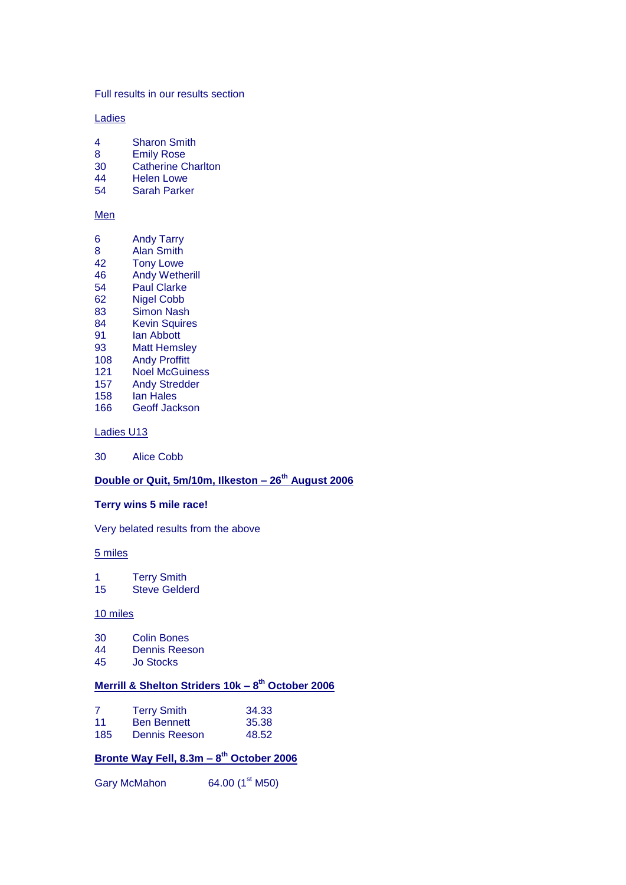Full results in our results section

**Ladies** 

- 4 Sharon Smith
- 8 Emily Rose<br>30 Catherine C
- 30 Catherine Charlton<br>44 Helen Lowe
- 44 Helen Lowe<br>54 Sarah Parke
- Sarah Parker

#### Men

| 6  | <b>Andy Tarry</b>     |
|----|-----------------------|
| 8  | <b>Alan Smith</b>     |
| 42 | <b>Tony Lowe</b>      |
| 46 |                       |
|    | <b>Andy Wetherill</b> |
| 54 | <b>Paul Clarke</b>    |
| 62 | <b>Nigel Cobb</b>     |
| റാ | Cimon Noob            |

- 83 Simon Nash 84 Kevin Squires
- 91 **Ian Abbott**
- 93 Matt Hemsley
- 108 Andy Proffitt
- 121 Noel McGuiness
- 
- 157 Andy Stredder<br>158 Ian Hales
- 158 Ian Hales<br>166 Geoff Jac Geoff Jackson

Ladies U13

30 Alice Cobb

### **Double or Quit, 5m/10m, Ilkeston – 26th August 2006**

#### **Terry wins 5 mile race!**

Very belated results from the above

#### 5 miles

1 Terry Smith 15 Steve Gelderd

#### 10 miles

- 30 Colin Bones<br>44 Dennis Rees
- 44 Dennis Reeson<br>45 Jo Stocks
- **Jo Stocks**

#### **Merrill & Shelton Striders 10k – 8 th October 2006**

| 7   | <b>Terry Smith</b> | 34.33 |
|-----|--------------------|-------|
| 11  | <b>Ben Bennett</b> | 35.38 |
| 185 | Dennis Reeson      | 48.52 |

#### **Bronte Way Fell, 8.3m – 8 th October 2006**

Gary McMahon 64.00  $(1<sup>st</sup> M50)$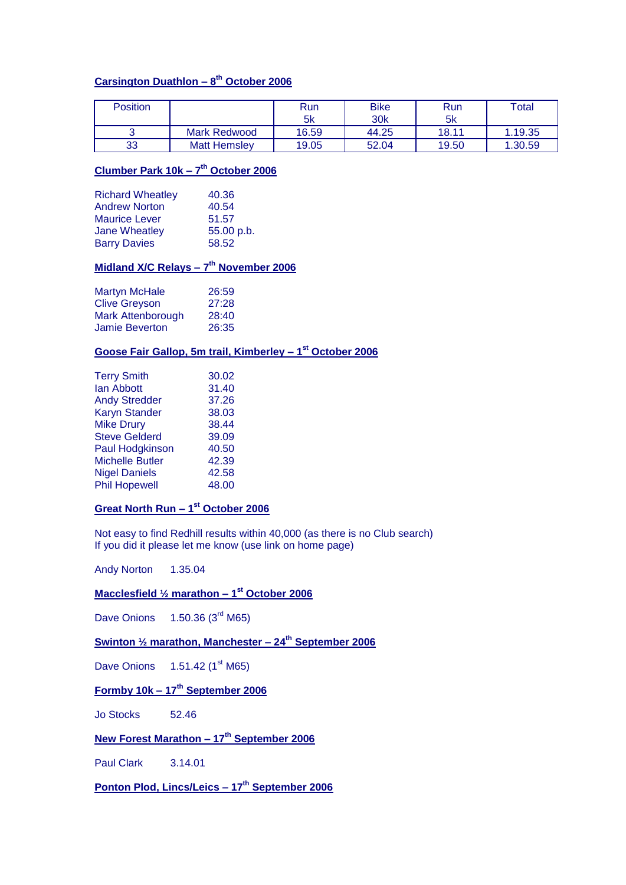### **Carsington Duathlon – 8 th October 2006**

| Position |                     | Run<br>-5k | <b>Bike</b><br>30 <sub>k</sub> | Run<br>5k | Total   |
|----------|---------------------|------------|--------------------------------|-----------|---------|
|          | Mark Redwood        | 16.59      | 44.25                          | 18.11     | 1.19.35 |
| 33       | <b>Matt Hemsley</b> | 19.05      | 52.04                          | 19.50     | 1.30.59 |

### **Clumber Park 10k – 7 th October 2006**

| <b>Richard Wheatley</b> | 40.36      |
|-------------------------|------------|
| <b>Andrew Norton</b>    | 40.54      |
| <b>Maurice Lever</b>    | 51.57      |
| <b>Jane Wheatley</b>    | 55.00 p.b. |
| <b>Barry Davies</b>     | 58.52      |

#### **Midland X/C Relays – 7 th November 2006**

| <b>Martyn McHale</b>  | 26:59 |
|-----------------------|-------|
| <b>Clive Greyson</b>  | 27:28 |
| Mark Attenborough     | 28:40 |
| <b>Jamie Beverton</b> | 26:35 |

#### **Goose Fair Gallop, 5m trail, Kimberley – 1 st October 2006**

| <b>Terry Smith</b>     | 30.02 |
|------------------------|-------|
| lan Abbott             | 31.40 |
| <b>Andy Stredder</b>   | 37.26 |
| <b>Karyn Stander</b>   | 38.03 |
| <b>Mike Drury</b>      | 38.44 |
| <b>Steve Gelderd</b>   | 39.09 |
| <b>Paul Hodgkinson</b> | 40.50 |
| <b>Michelle Butler</b> | 42.39 |
| <b>Nigel Daniels</b>   | 42.58 |
| <b>Phil Hopewell</b>   | 48.00 |
|                        |       |

#### **Great North Run – 1 st October 2006**

Not easy to find Redhill results within 40,000 (as there is no Club search) If you did it please let me know (use link on home page)

Andy Norton 1.35.04

#### **Macclesfield ½ marathon – 1 st October 2006**

Dave Onions  $1.50.36$  (3<sup>rd</sup> M65)

### **Swinton ½ marathon, Manchester – 24th September 2006**

Dave Onions  $1.51.42 (1<sup>st</sup> M65)$ 

### **Formby 10k – 17th September 2006**

Jo Stocks 52.46

### **New Forest Marathon – 17th September 2006**

Paul Clark 3.14.01

**Ponton Plod, Lincs/Leics – 17th September 2006**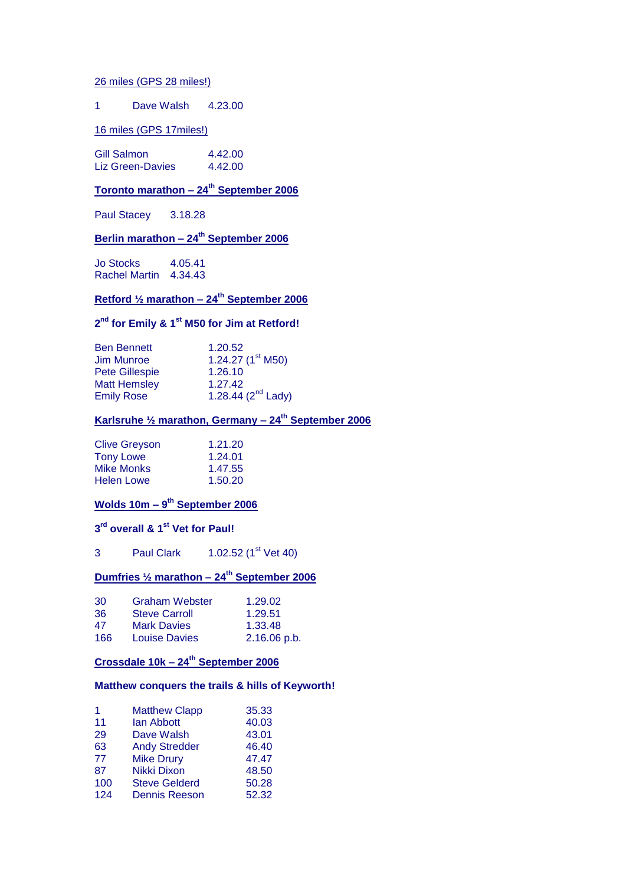#### 26 miles (GPS 28 miles!)

#### 1 Dave Walsh 4.23.00

#### 16 miles (GPS 17miles!)

| Gill Salmon      | 4.42.00 |
|------------------|---------|
| Liz Green-Davies | 4.42.00 |

### **Toronto marathon – 24th September 2006**

Paul Stacey 3.18.28

### **Berlin marathon – 24th September 2006**

Jo Stocks 4.05.41 Rachel Martin 4.34.43

### **Retford ½ marathon – 24th September 2006**

#### **2 nd for Emily & 1st M50 for Jim at Retford!**

| <b>Ben Bennett</b>    | 1.20.52                 |
|-----------------------|-------------------------|
| Jim Munroe            | 1.24.27 $(1st M50)$     |
| <b>Pete Gillespie</b> | 1.26.10                 |
| <b>Matt Hemsley</b>   | 1.27.42                 |
| <b>Emily Rose</b>     | 1.28.44 $(2^{nd}$ Lady) |

### **Karlsruhe ½ marathon, Germany – 24th September 2006**

| <b>Clive Greyson</b> | 1.21.20 |
|----------------------|---------|
| <b>Tony Lowe</b>     | 1.24.01 |
| <b>Mike Monks</b>    | 1.47.55 |
| <b>Helen Lowe</b>    | 1.50.20 |

#### **Wolds 10m – 9 th September 2006**

#### **3 rd overall & 1st Vet for Paul!**

3 Paul Clark 1.02.52 (1<sup>st</sup> Vet 40)

### **Dumfries ½ marathon – 24th September 2006**

| 30  | <b>Graham Webster</b> | 1.29.02        |
|-----|-----------------------|----------------|
| 36  | <b>Steve Carroll</b>  | 1.29.51        |
| 47  | <b>Mark Davies</b>    | 1.33.48        |
| 166 | <b>Louise Davies</b>  | $2.16.06$ p.b. |

### **Crossdale 10k – 24th September 2006**

### **Matthew conquers the trails & hills of Keyworth!**

| 1   | <b>Matthew Clapp</b> | 35.33 |
|-----|----------------------|-------|
| 11  | lan Abbott           | 40.03 |
| 29  | Dave Walsh           | 43.01 |
| 63  | <b>Andy Stredder</b> | 46.40 |
| 77  | <b>Mike Drury</b>    | 47.47 |
| 87  | Nikki Dixon          | 48.50 |
| 100 | <b>Steve Gelderd</b> | 50.28 |
| 124 | <b>Dennis Reeson</b> | 52.32 |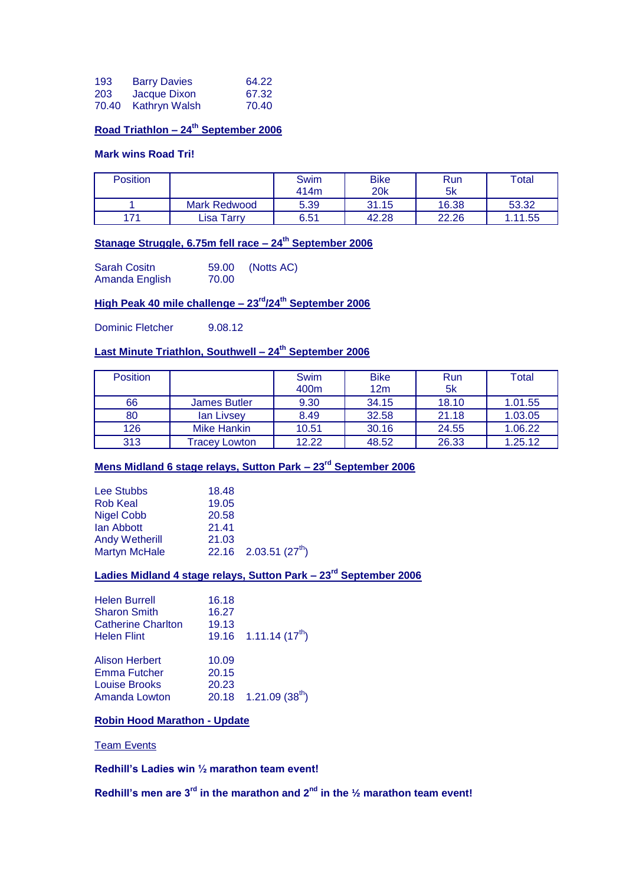| 193   | <b>Barry Davies</b>  | 64.22 |
|-------|----------------------|-------|
| 203   | Jacque Dixon         | 67.32 |
| 70.40 | <b>Kathryn Walsh</b> | 70.40 |

### **Road Triathlon – 24th September 2006**

#### **Mark wins Road Tri!**

| <b>Position</b> |              | Swim<br>414m | <b>Bike</b><br>20k | Run<br>5k | Total   |
|-----------------|--------------|--------------|--------------------|-----------|---------|
|                 | Mark Redwood | 5.39         | 31.15              | 16.38     | 53.32   |
| 171             | Lisa Tarrv   | 6.51         | 42.28              | 22.26     | 1.11.55 |

### **Stanage Struggle, 6.75m fell race – 24th September 2006**

| <b>Sarah Cositn</b> | 59.00 | (Notts AC) |
|---------------------|-------|------------|
| Amanda English      | 70.00 |            |

### **High Peak 40 mile challenge – 23rd/24th September 2006**

Dominic Fletcher 9.08.12

### **Last Minute Triathlon, Southwell – 24th September 2006**

| <b>Position</b> |                      | Swim             | <b>Bike</b> | Run   | Total   |
|-----------------|----------------------|------------------|-------------|-------|---------|
|                 |                      | 400 <sub>m</sub> | 12m         | 5k    |         |
| 66              | James Butler         | 9.30             | 34.15       | 18.10 | 1.01.55 |
| 80              | lan Livsey           | 8.49             | 32.58       | 21.18 | 1.03.05 |
| 126             | Mike Hankin          | 10.51            | 30.16       | 24.55 | 1.06.22 |
| 313             | <b>Tracey Lowton</b> | 12.22            | 48.52       | 26.33 | 1.25.12 |

### **Mens Midland 6 stage relays, Sutton Park – 23rd September 2006**

| 18.48 |                           |
|-------|---------------------------|
| 19.05 |                           |
| 20.58 |                           |
| 21.41 |                           |
| 21.03 |                           |
|       | 22.16 2.03.51 $(27^{th})$ |
|       |                           |

### **Ladies Midland 4 stage relays, Sutton Park – 23rd September 2006**

| 16.18<br>16.27<br>19.13 | 19.16 $1.11.14(17th)$               |
|-------------------------|-------------------------------------|
| 10.09                   |                                     |
| 20.15                   |                                     |
| 20.23                   |                                     |
|                         | $20.18$ 1.21.09 (38 <sup>th</sup> ) |
|                         |                                     |

### **Robin Hood Marathon - Update**

#### Team Events

**Redhill's Ladies win ½ marathon team event!**

**Redhill's men are 3rd in the marathon and 2nd in the ½ marathon team event!**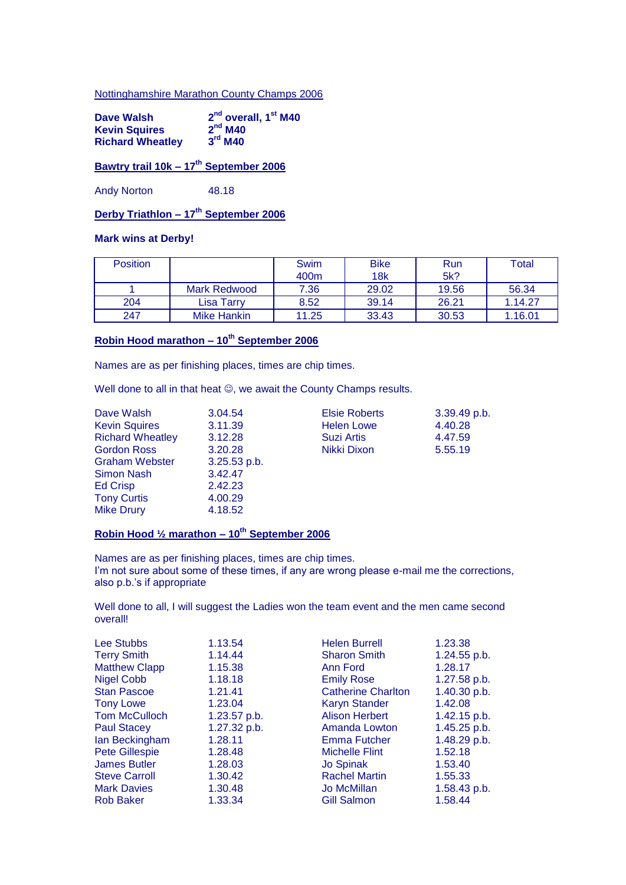#### Nottinghamshire Marathon County Champs 2006

| Dave Walsh              | 2 <sup>nd</sup> overall, 1 <sup>st</sup> M40 |
|-------------------------|----------------------------------------------|
| <b>Kevin Squires</b>    | 2 <sup>nd</sup> M40                          |
| <b>Richard Wheatley</b> | $3rd$ M40                                    |

### **Bawtry trail 10k – 17th September 2006**

Andy Norton 48.18

### **Derby Triathlon – 17th September 2006**

### **Mark wins at Derby!**

| <b>Position</b> |              | Swim<br>400m | <b>Bike</b><br>18k | Run<br>5k? | Total   |
|-----------------|--------------|--------------|--------------------|------------|---------|
|                 | Mark Redwood | 7.36         | 29.02              | 19.56      | 56.34   |
| 204             | Lisa Tarrv   | 8.52         | 39.14              | 26.21      | 1.14.27 |
| 247             | Mike Hankin  | 11.25        | 33.43              | 30.53      | 1.16.01 |

### **Robin Hood marathon – 10th September 2006**

Names are as per finishing places, times are chip times.

Well done to all in that heat  $\mathfrak{D}$ , we await the County Champs results.

| Dave Walsh              | 3.04.54        | <b>Elsie Roberts</b> | 3.39.49 p.b. |
|-------------------------|----------------|----------------------|--------------|
| <b>Kevin Squires</b>    | 3.11.39        | <b>Helen Lowe</b>    | 4.40.28      |
| <b>Richard Wheatley</b> | 3.12.28        | <b>Suzi Artis</b>    | 4.47.59      |
| <b>Gordon Ross</b>      | 3.20.28        | Nikki Dixon          | 5.55.19      |
| <b>Graham Webster</b>   | $3.25.53$ p.b. |                      |              |
| Simon Nash              | 3.42.47        |                      |              |
| <b>Ed Crisp</b>         | 2.42.23        |                      |              |
| <b>Tony Curtis</b>      | 4.00.29        |                      |              |
| <b>Mike Drury</b>       | 4.18.52        |                      |              |

### **Robin Hood ½ marathon – 10th September 2006**

Names are as per finishing places, times are chip times. I'm not sure about some of these times, if any are wrong please e-mail me the corrections, also p.b.'s if appropriate

Well done to all, I will suggest the Ladies won the team event and the men came second overall!

| <b>Lee Stubbs</b>     | 1.13.54      | <b>Helen Burrell</b>      | 1.23.38      |
|-----------------------|--------------|---------------------------|--------------|
| <b>Terry Smith</b>    | 1.14.44      | <b>Sharon Smith</b>       | 1.24.55 p.b. |
| <b>Matthew Clapp</b>  | 1.15.38      | Ann Ford                  | 1.28.17      |
| <b>Nigel Cobb</b>     | 1.18.18      | <b>Emily Rose</b>         | 1.27.58 p.b. |
| <b>Stan Pascoe</b>    | 1.21.41      | <b>Catherine Charlton</b> | 1.40.30 p.b. |
| <b>Tony Lowe</b>      | 1.23.04      | <b>Karyn Stander</b>      | 1.42.08      |
| <b>Tom McCulloch</b>  | 1.23.57 p.b. | <b>Alison Herbert</b>     | 1.42.15 p.b. |
| <b>Paul Stacey</b>    | 1.27.32 p.b. | Amanda Lowton             | 1.45.25 p.b. |
| lan Beckingham        | 1.28.11      | <b>Emma Futcher</b>       | 1.48.29 p.b. |
| <b>Pete Gillespie</b> | 1.28.48      | <b>Michelle Flint</b>     | 1.52.18      |
| <b>James Butler</b>   | 1.28.03      | <b>Jo Spinak</b>          | 1.53.40      |
| <b>Steve Carroll</b>  | 1.30.42      | <b>Rachel Martin</b>      | 1.55.33      |
| <b>Mark Davies</b>    | 1.30.48      | Jo McMillan               | 1.58.43 p.b. |
| <b>Rob Baker</b>      | 1.33.34      | Gill Salmon               | 1.58.44      |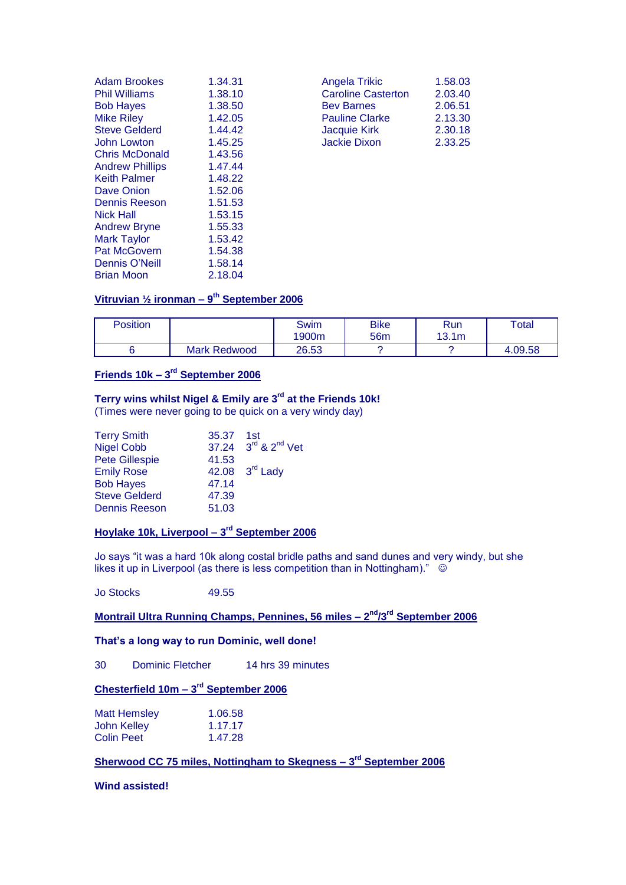| Adam Brookes           | 1.34.31 | Angela Trikic             | 1.58.03 |
|------------------------|---------|---------------------------|---------|
| Phil Williams          | 1.38.10 | <b>Caroline Casterton</b> | 2.03.40 |
| <b>Bob Hayes</b>       | 1.38.50 | <b>Bev Barnes</b>         | 2.06.51 |
| Mike Riley             | 1.42.05 | <b>Pauline Clarke</b>     | 2.13.30 |
| <b>Steve Gelderd</b>   | 1.44.42 | Jacquie Kirk              | 2.30.18 |
| John Lowton            | 1.45.25 | Jackie Dixon              | 2.33.25 |
| Chris McDonald         | 1.43.56 |                           |         |
| <b>Andrew Phillips</b> | 1.47.44 |                           |         |
| Keith Palmer           | 1.48.22 |                           |         |
| Dave Onion             | 1.52.06 |                           |         |
| Dennis Reeson          | 1.51.53 |                           |         |
| Nick Hall              | 1.53.15 |                           |         |
| <b>Andrew Bryne</b>    | 1.55.33 |                           |         |
| Mark Taylor            | 1.53.42 |                           |         |
| <b>Pat McGovern</b>    | 1.54.38 |                           |         |
| <b>Dennis O'Neill</b>  | 1.58.14 |                           |         |
| <b>Brian Moon</b>      | 2.18.04 |                           |         |

| Angela Trikic             | 1.58.03 |
|---------------------------|---------|
| <b>Caroline Casterton</b> | 2.03.40 |
| <b>Bev Barnes</b>         | 2.06.51 |
| <b>Pauline Clarke</b>     | 2.13.30 |
| <b>Jacquie Kirk</b>       | 2.30.18 |
| <b>Jackie Dixon</b>       | 2.33.25 |
|                           |         |

#### **Vitruvian ½ ironman – 9 th September 2006**

| Position |                     | Swim<br>1900m | <b>Bike</b><br>56 <sub>m</sub> | <b>Run</b><br>13.1 <sub>m</sub> | Total   |
|----------|---------------------|---------------|--------------------------------|---------------------------------|---------|
|          | <b>Mark Redwood</b> | 26.53         |                                |                                 | 4.09.58 |

#### **Friends 10k – 3 rd September 2006**

### **Terry wins whilst Nigel & Emily are 3rd at the Friends 10k!**

(Times were never going to be quick on a very windy day)

| <b>Terry Smith</b>    | 35.37 1st |                                             |
|-----------------------|-----------|---------------------------------------------|
| <b>Nigel Cobb</b>     |           | 37.24 3 <sup>rd</sup> & 2 <sup>nd</sup> Vet |
| <b>Pete Gillespie</b> | 41.53     |                                             |
| <b>Emily Rose</b>     |           | 42.08 3 <sup>rd</sup> Lady                  |
| <b>Bob Hayes</b>      | 47.14     |                                             |
| <b>Steve Gelderd</b>  | 47.39     |                                             |
| <b>Dennis Reeson</b>  | 51.03     |                                             |

#### **Hoylake 10k, Liverpool – 3 rd September 2006**

Jo says "it was a hard 10k along costal bridle paths and sand dunes and very windy, but she likes it up in Liverpool (as there is less competition than in Nottingham)."

Jo Stocks 49.55

#### **Montrail Ultra Running Champs, Pennines, 56 miles – 2 nd/3rd September 2006**

### **That's a long way to run Dominic, well done!**

30 Dominic Fletcher 14 hrs 39 minutes

#### **Chesterfield 10m – 3 rd September 2006**

| <b>Matt Hemsley</b> | 1.06.58 |
|---------------------|---------|
| John Kelley         | 1.17.17 |
| <b>Colin Peet</b>   | 1.47.28 |

#### **Sherwood CC 75 miles, Nottingham to Skegness – 3 rd September 2006**

#### **Wind assisted!**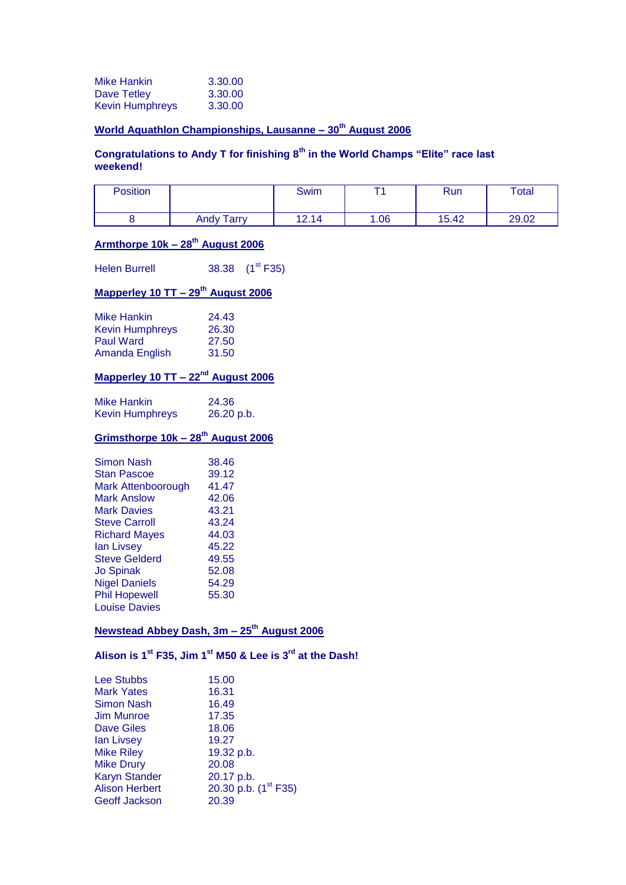| <b>Mike Hankin</b>     | 3.30.00 |
|------------------------|---------|
| Dave Tetley            | 3.30.00 |
| <b>Kevin Humphreys</b> | 3.30.00 |

### **World Aquathlon Championships, Lausanne – 30th August 2006**

### **Congratulations to Andy T for finishing 8th in the World Champs "Elite" race last weekend!**

| Position |                   | Swim  |      | <b>Run</b> | Total |
|----------|-------------------|-------|------|------------|-------|
|          | <b>Andy Tarry</b> | 12.14 | 0.06 | 15.42      | 29.02 |

### **Armthorpe 10k – 28th August 2006**

Helen Burrell  $38.38 \text{ (1}^{\text{st}} F35)$ 

### **Mapperley 10 TT – 29th August 2006**

| <b>Mike Hankin</b>     | 24.43 |
|------------------------|-------|
| <b>Kevin Humphreys</b> | 26.30 |
| <b>Paul Ward</b>       | 27.50 |
| Amanda English         | 31.50 |

### **Mapperley 10 TT – 22nd August 2006**

| Mike Hankin            | 24.36      |
|------------------------|------------|
| <b>Kevin Humphreys</b> | 26.20 p.b. |

### **Grimsthorpe 10k – 28th August 2006**

| Simon Nash           | 38.46 |
|----------------------|-------|
| Stan Pascoe          | 39.12 |
| Mark Attenboorough   | 41.47 |
| Mark Anslow          | 42.06 |
| <b>Mark Davies</b>   | 43.21 |
| <b>Steve Carroll</b> | 43.24 |
| <b>Richard Mayes</b> | 44.03 |
| lan Livsey           | 45.22 |
| <b>Steve Gelderd</b> | 49.55 |
| Jo Spinak            | 52.08 |
| <b>Nigel Daniels</b> | 54.29 |
| <b>Phil Hopewell</b> | 55.30 |
| <b>Louise Davies</b> |       |

### **Newstead Abbey Dash, 3m – 25th August 2006**

**Alison is 1st F35, Jim 1 st M50 & Lee is 3rd at the Dash!**

| <b>Lee Stubbs</b>     | 15.00                            |
|-----------------------|----------------------------------|
| <b>Mark Yates</b>     | 16.31                            |
| Simon Nash            | 16.49                            |
| <b>Jim Munroe</b>     | 17.35                            |
| <b>Dave Giles</b>     | 18.06                            |
| lan Livsey            | 19.27                            |
| <b>Mike Riley</b>     | 19.32 p.b.                       |
| <b>Mike Drury</b>     | 20.08                            |
| <b>Karyn Stander</b>  | 20.17 p.b.                       |
| <b>Alison Herbert</b> | 20.30 p.b. (1 <sup>st</sup> F35) |
| <b>Geoff Jackson</b>  | 20.39                            |
|                       |                                  |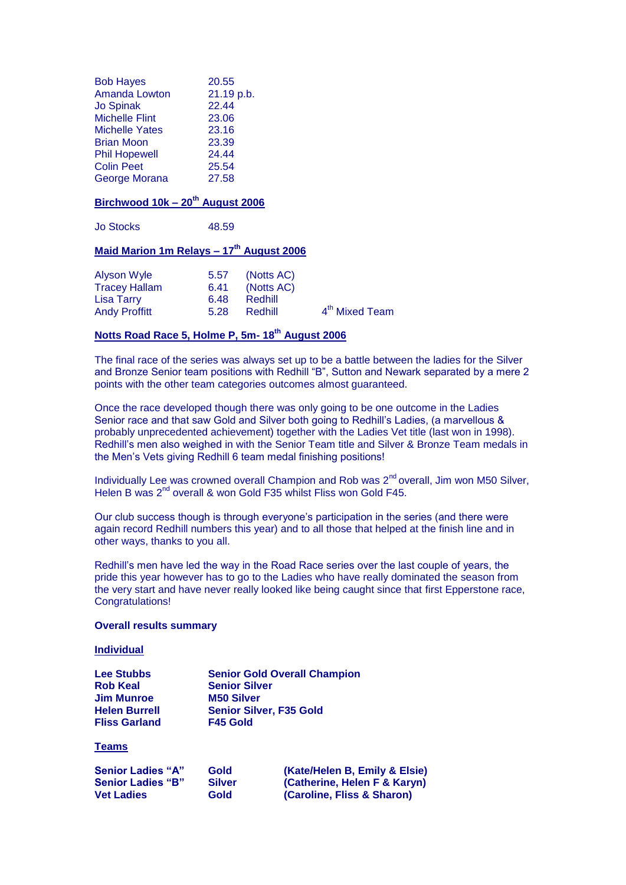| <b>Bob Hayes</b>      | 20.55      |
|-----------------------|------------|
| <b>Amanda Lowton</b>  | 21.19 p.b. |
| <b>Jo Spinak</b>      | 22.44      |
| <b>Michelle Flint</b> | 23.06      |
| <b>Michelle Yates</b> | 23.16      |
| <b>Brian Moon</b>     | 23.39      |
| <b>Phil Hopewell</b>  | 24.44      |
| <b>Colin Peet</b>     | 25.54      |
| George Morana         | 27.58      |

### **Birchwood 10k – 20th August 2006**

Jo Stocks 48.59

### **Maid Marion 1m Relays – 17th August 2006**

| Alyson Wyle          | 5.57 | (Notts AC) |                            |
|----------------------|------|------------|----------------------------|
| <b>Tracey Hallam</b> | 6.41 | (Notts AC) |                            |
| Lisa Tarry           | 6.48 | Redhill    |                            |
| <b>Andy Proffitt</b> | 5.28 | Redhill    | 4 <sup>th</sup> Mixed Team |

### **Notts Road Race 5, Holme P, 5m- 18th August 2006**

The final race of the series was always set up to be a battle between the ladies for the Silver and Bronze Senior team positions with Redhill "B", Sutton and Newark separated by a mere 2 points with the other team categories outcomes almost guaranteed.

Once the race developed though there was only going to be one outcome in the Ladies Senior race and that saw Gold and Silver both going to Redhill's Ladies, (a marvellous & probably unprecedented achievement) together with the Ladies Vet title (last won in 1998). Redhill's men also weighed in with the Senior Team title and Silver & Bronze Team medals in the Men's Vets giving Redhill 6 team medal finishing positions!

Individually Lee was crowned overall Champion and Rob was 2<sup>nd</sup> overall, Jim won M50 Silver, Helen B was 2<sup>nd</sup> overall & won Gold F35 whilst Fliss won Gold F45.

Our club success though is through everyone's participation in the series (and there were again record Redhill numbers this year) and to all those that helped at the finish line and in other ways, thanks to you all.

Redhill's men have led the way in the Road Race series over the last couple of years, the pride this year however has to go to the Ladies who have really dominated the season from the very start and have never really looked like being caught since that first Epperstone race, Congratulations!

#### **Overall results summary**

#### **Individual**

| <b>Lee Stubbs</b>    | <b>Senior Gold Overall Champion</b> |
|----------------------|-------------------------------------|
| <b>Rob Keal</b>      | <b>Senior Silver</b>                |
| <b>Jim Munroe</b>    | <b>M50 Silver</b>                   |
| <b>Helen Burrell</b> | <b>Senior Silver, F35 Gold</b>      |
| <b>Fliss Garland</b> | F45 Gold                            |

#### **Teams**

| <b>Senior Ladies "A"</b> | Gold          | (Kate/Helen B, Emily & Elsie) |
|--------------------------|---------------|-------------------------------|
| <b>Senior Ladies "B"</b> | <b>Silver</b> | (Catherine, Helen F & Karyn)  |
| <b>Vet Ladies</b>        | Gold          | (Caroline, Fliss & Sharon)    |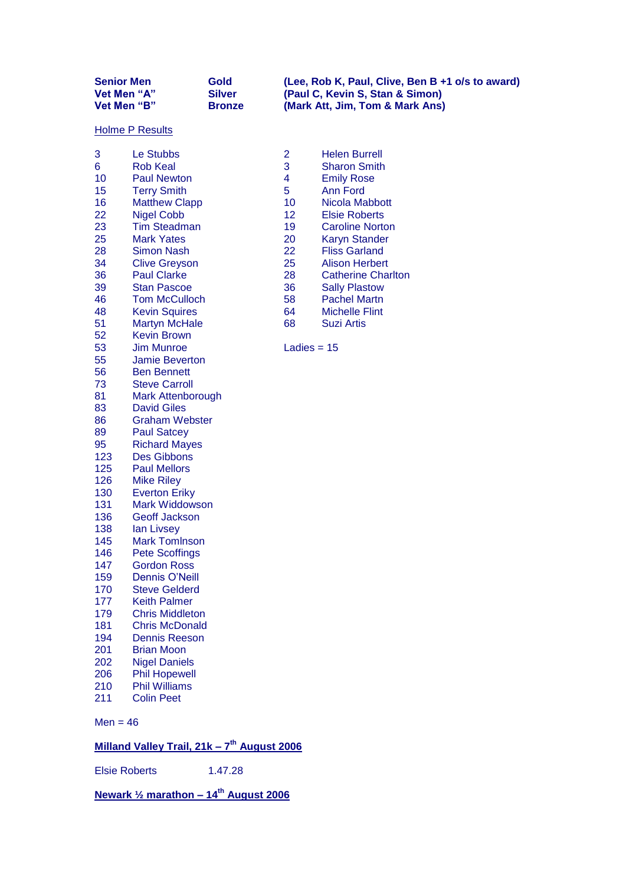| <b>Senior Men</b>  | Gold          |
|--------------------|---------------|
| <b>Vet Men "A"</b> | <b>Silver</b> |
| Vet Men "B"        | <b>Bronze</b> |

**Senior Men Gold (Lee, Rob K, Paul, Clive, Ben B +1 o/s to award) Vet Men "A" Silver (Paul C, Kevin S, Stan & Simon) Vet Men "B" Bronze (Mark Att, Jim, Tom & Mark Ans)**

#### **Holme P Results**

| 3          | Le Stubbs                | 2             | Helen Burrell         |
|------------|--------------------------|---------------|-----------------------|
| 6          | <b>Rob Keal</b>          | 3             | <b>Sharon Smith</b>   |
| 10         | <b>Paul Newton</b>       | 4             | <b>Emily Rose</b>     |
| 15         | <b>Terry Smith</b>       | 5             | <b>Ann Ford</b>       |
| 16         | <b>Matthew Clapp</b>     | 10            | Nicola Mabbot         |
| 22         | <b>Nigel Cobb</b>        | 12            | <b>Elsie Roberts</b>  |
| 23         | <b>Tim Steadman</b>      | 19            | <b>Caroline Norto</b> |
| 25         | <b>Mark Yates</b>        | 20            | <b>Karyn Stander</b>  |
| 28         | <b>Simon Nash</b>        | 22            | <b>Fliss Garland</b>  |
| 34         | <b>Clive Greyson</b>     | 25            | <b>Alison Herbert</b> |
| 36         | <b>Paul Clarke</b>       | 28            | <b>Catherine Cha</b>  |
| 39         | <b>Stan Pascoe</b>       | 36            | <b>Sally Plastow</b>  |
| 46         | <b>Tom McCulloch</b>     | 58            | <b>Pachel Martn</b>   |
| 48         | <b>Kevin Squires</b>     | 64            | <b>Michelle Flint</b> |
| 51         | <b>Martyn McHale</b>     | 68            | <b>Suzi Artis</b>     |
| 52         | <b>Kevin Brown</b>       |               |                       |
| 53         | <b>Jim Munroe</b>        | Ladies = $15$ |                       |
| 55         | <b>Jamie Beverton</b>    |               |                       |
| 56         | <b>Ben Bennett</b>       |               |                       |
| 73         | <b>Steve Carroll</b>     |               |                       |
| 81         | <b>Mark Attenborough</b> |               |                       |
| 83         | <b>David Giles</b>       |               |                       |
| 86         | <b>Graham Webster</b>    |               |                       |
| 89         | <b>Paul Satcey</b>       |               |                       |
| 95         | <b>Richard Mayes</b>     |               |                       |
| 123        | <b>Des Gibbons</b>       |               |                       |
| 125        | <b>Paul Mellors</b>      |               |                       |
| 126        | <b>Mike Riley</b>        |               |                       |
| 130        |                          |               |                       |
| 131        | <b>Everton Eriky</b>     |               |                       |
| 136        | <b>Mark Widdowson</b>    |               |                       |
|            | <b>Geoff Jackson</b>     |               |                       |
| 138<br>145 | lan Livsey               |               |                       |
|            | <b>Mark TomInson</b>     |               |                       |
| 146        | <b>Pete Scoffings</b>    |               |                       |
| 147        | <b>Gordon Ross</b>       |               |                       |
| 159        | Dennis O'Neill           |               |                       |
| 170        | <b>Steve Gelderd</b>     |               |                       |
| 177        | <b>Keith Palmer</b>      |               |                       |
| 179        | <b>Chris Middleton</b>   |               |                       |
| 181        | <b>Chris McDonald</b>    |               |                       |
| 194        | <b>Dennis Reeson</b>     |               |                       |
| 201        | <b>Brian Moon</b>        |               |                       |
| 202        | <b>Nigel Daniels</b>     |               |                       |
| 206        | <b>Phil Hopewell</b>     |               |                       |
| 210        | <b>Phil Williams</b>     |               |                       |
| 211        | <b>Colin Peet</b>        |               |                       |

 $Men = 46$ 

**Milland Valley Trail, 21k – 7 th August 2006**

Elsie Roberts 1.47.28

**Newark ½ marathon – 14th August 2006**

- 2 Helen Burrell<br>3 Sharon Smith
- 3 Sharon Smith<br>4 Emily Rose
- 4 Emily Rose<br>5 Ann Ford Ann Ford
- 10 Nicola Mabbott
- 12 Elsie Roberts
- 19 Caroline Norton
- 
- 
- 25 Alison Herbert
- 28 Catherine Charlton<br>36 Sally Plastow
	- Sally Plastow
- 
- 58 Pachel Martn<br>64 Michelle Flint
- 64 Michelle Flint<br>68 Suzi Artis Suzi Artis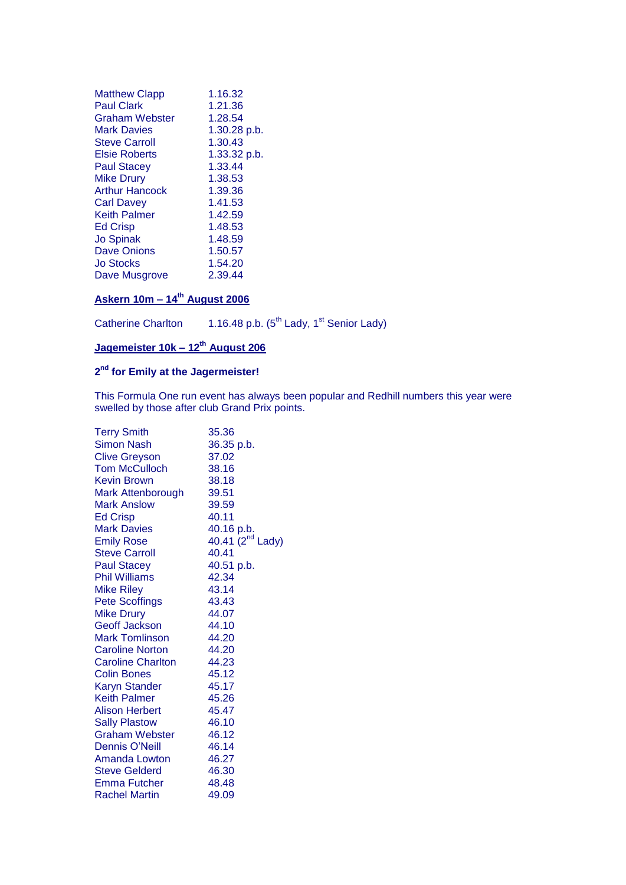| <b>Matthew Clapp</b>  | 1.16.32      |
|-----------------------|--------------|
| <b>Paul Clark</b>     | 1.21.36      |
| <b>Graham Webster</b> | 1.28.54      |
| <b>Mark Davies</b>    | 1.30.28 p.b. |
| <b>Steve Carroll</b>  | 1.30.43      |
| <b>Elsie Roberts</b>  | 1.33.32 p.b. |
| <b>Paul Stacey</b>    | 1.33.44      |
| <b>Mike Drury</b>     | 1.38.53      |
| Arthur Hancock        | 1.39.36      |
| Carl Davev            | 1.41.53      |
| Keith Palmer          | 1.42.59      |
| <b>Ed Crisp</b>       | 1.48.53      |
| <b>Jo Spinak</b>      | 1.48.59      |
| <b>Dave Onions</b>    | 1.50.57      |
| Jo Stocks             | 1.54.20      |
| Dave Musgrove         | 2.39.44      |

### **Askern 10m – 14th August 2006**

Catherine Charlton 1.16.48 p.b.  $(5^{th}$  Lady, 1<sup>st</sup> Senior Lady)

## **Jagemeister 10k – 12th August 206**

#### **2 nd for Emily at the Jagermeister!**

This Formula One run event has always been popular and Redhill numbers this year were swelled by those after club Grand Prix points.

| <b>Terry Smith</b>       | 35.36                        |
|--------------------------|------------------------------|
| <b>Simon Nash</b>        | 36.35 p.b.                   |
| <b>Clive Greyson</b>     | 37.02                        |
| <b>Tom McCulloch</b>     | 38.16                        |
| <b>Kevin Brown</b>       | 38.18                        |
| Mark Attenborough        | 39.51                        |
| <b>Mark Anslow</b>       | 39.59                        |
| <b>Ed Crisp</b>          | 40.11                        |
| <b>Mark Davies</b>       | 40.16 p.b.                   |
| <b>Emily Rose</b>        | 40.41 (2 <sup>nd</sup> Lady) |
| <b>Steve Carroll</b>     | 40.41                        |
| <b>Paul Stacey</b>       | 40.51 p.b.                   |
| <b>Phil Williams</b>     | 42.34                        |
| <b>Mike Riley</b>        | 43.14                        |
| <b>Pete Scoffings</b>    | 43.43                        |
| <b>Mike Drury</b>        | 44.07                        |
| <b>Geoff Jackson</b>     | 44.10                        |
| <b>Mark Tomlinson</b>    | 44.20                        |
| <b>Caroline Norton</b>   | 44.20                        |
| <b>Caroline Charlton</b> | 44.23                        |
| <b>Colin Bones</b>       | 45.12                        |
| <b>Karyn Stander</b>     | 45.17                        |
| <b>Keith Palmer</b>      | 45.26                        |
| <b>Alison Herbert</b>    | 45.47                        |
| <b>Sally Plastow</b>     | - 46.10                      |
| <b>Graham Webster</b>    | 46.12                        |
| Dennis O'Neill           | 46.14                        |
| Amanda Lowton            | 46.27                        |
| <b>Steve Gelderd</b>     | 46.30                        |
| <b>Emma Futcher</b>      | 48.48                        |
| <b>Rachel Martin</b>     | 49.09                        |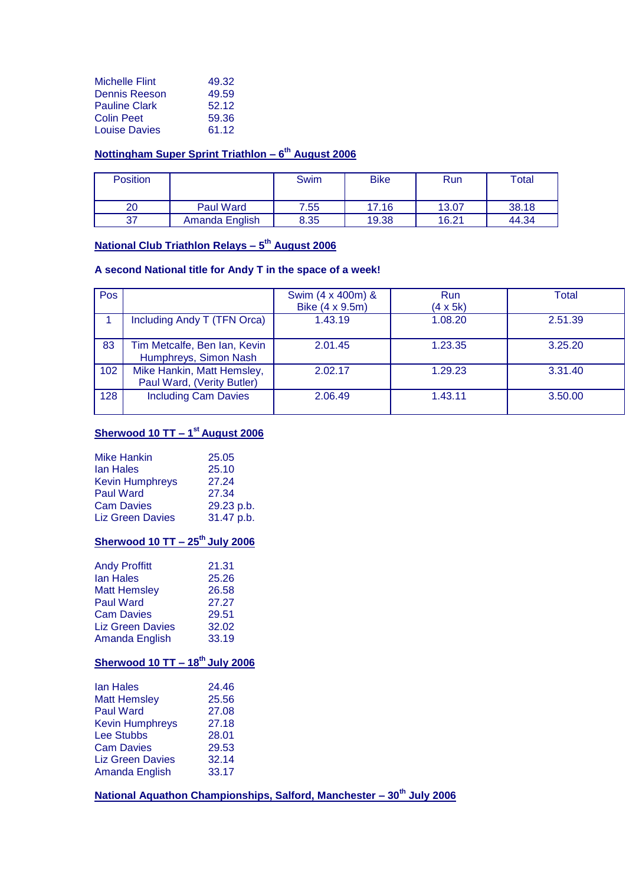| <b>Michelle Flint</b> | 49.32 |
|-----------------------|-------|
| Dennis Reeson         | 49.59 |
| <b>Pauline Clark</b>  | 52.12 |
| <b>Colin Peet</b>     | 59.36 |
| <b>Louise Davies</b>  | 61.12 |

#### **Nottingham Super Sprint Triathlon – 6 th August 2006**

| <b>Position</b> |                  | Swim | <b>Bike</b> | Run   | $\tau$ otal |
|-----------------|------------------|------|-------------|-------|-------------|
| 20              | <b>Paul Ward</b> | 7.55 | 17.16       | 13.07 | 38.18       |
| 37              | Amanda English   | 8.35 | 19.38       | 16.21 | 44.34       |

#### **National Club Triathlon Relays – 5 th August 2006**

### **A second National title for Andy T in the space of a week!**

| Pos |                                                          | Swim (4 x 400m) & | Run             | <b>Total</b> |
|-----|----------------------------------------------------------|-------------------|-----------------|--------------|
|     |                                                          | Bike (4 x 9.5m)   | $(4 \times 5k)$ |              |
|     | Including Andy T (TFN Orca)                              | 1.43.19           | 1.08.20         | 2.51.39      |
| 83  | Tim Metcalfe, Ben Ian, Kevin<br>Humphreys, Simon Nash    | 2.01.45           | 1.23.35         | 3.25.20      |
| 102 | Mike Hankin, Matt Hemsley,<br>Paul Ward, (Verity Butler) | 2.02.17           | 1.29.23         | 3.31.40      |
| 128 | <b>Including Cam Davies</b>                              | 2.06.49           | 1.43.11         | 3.50.00      |

### **Sherwood 10 TT – 1 st August 2006**

| <b>Mike Hankin</b>      | 25.05      |
|-------------------------|------------|
| lan Hales               | 25.10      |
| <b>Kevin Humphreys</b>  | 27.24      |
| <b>Paul Ward</b>        | 27.34      |
| <b>Cam Davies</b>       | 29.23 p.b. |
| <b>Liz Green Davies</b> | 31.47 p.b. |
|                         |            |

### **Sherwood 10 TT – 25th July 2006**

| <b>Andy Proffitt</b>    | 21.31 |
|-------------------------|-------|
| lan Hales               | 25.26 |
| <b>Matt Hemsley</b>     | 26.58 |
| <b>Paul Ward</b>        | 27.27 |
| <b>Cam Davies</b>       | 29.51 |
| <b>Liz Green Davies</b> | 32.02 |
| Amanda English          | 33.19 |
|                         |       |

### **Sherwood 10 TT – 18th July 2006**

| lan Hales               | 24.46 |
|-------------------------|-------|
| <b>Matt Hemsley</b>     | 25.56 |
| <b>Paul Ward</b>        | 27.08 |
| <b>Kevin Humphreys</b>  | 27.18 |
| Lee Stubbs              | 28.01 |
| <b>Cam Davies</b>       | 29.53 |
| <b>Liz Green Davies</b> | 32.14 |
| Amanda English          | 33.17 |
|                         |       |

**National Aquathon Championships, Salford, Manchester – 30th July 2006**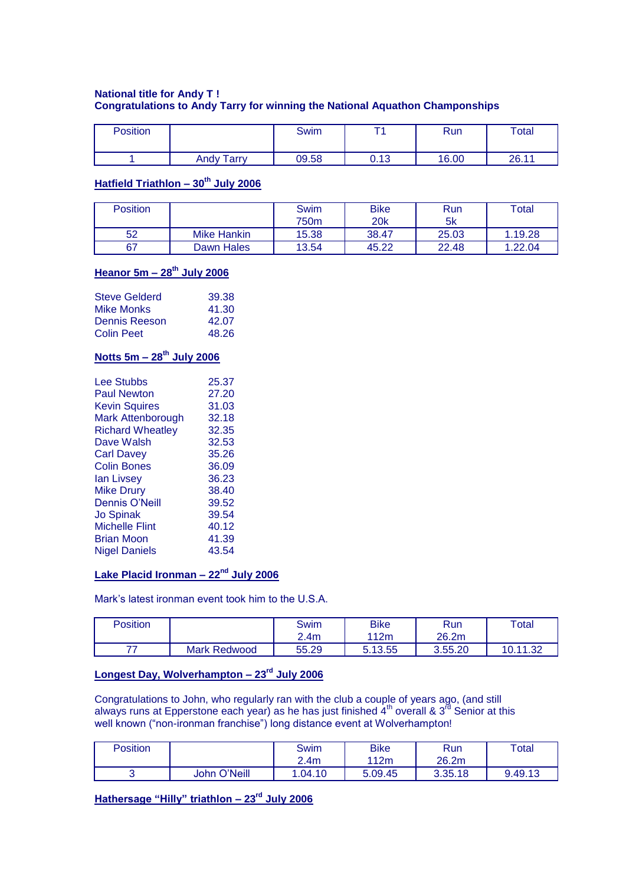### **National title for Andy T ! Congratulations to Andy Tarry for winning the National Aquathon Champonships**

| Position |                   | Swim  | ÷.   | Run   | Total |
|----------|-------------------|-------|------|-------|-------|
|          | <b>Andy Tarry</b> | 09.58 | 0.13 | 16.00 | 26.11 |

### **Hatfield Triathlon – 30th July 2006**

| <b>Position</b> |             | Swim<br>750m | <b>Bike</b><br><b>20k</b> | Run<br>5k | Total   |
|-----------------|-------------|--------------|---------------------------|-----------|---------|
| 52              | Mike Hankin | 15.38        | 38.47                     | 25.03     | 1.19.28 |
| 67              | Dawn Hales  | 13.54        | 45.22                     | 22.48     | .22.04  |

### **Heanor 5m – 28th July 2006**

| <b>Steve Gelderd</b> | 39.38 |
|----------------------|-------|
| <b>Mike Monks</b>    | 41.30 |
| Dennis Reeson        | 42.07 |
| <b>Colin Peet</b>    | 48.26 |

### **Notts 5m – 28th July 2006**

| <b>Lee Stubbs</b>       | 25.37 |
|-------------------------|-------|
| <b>Paul Newton</b>      | 27.20 |
| <b>Kevin Squires</b>    | 31.03 |
| Mark Attenborough       | 32.18 |
| <b>Richard Wheatley</b> | 32.35 |
| Dave Walsh              | 32.53 |
| Carl Davev              | 35.26 |
| Colin Bones             | 36.09 |
| lan Livsev              | 36.23 |
| <b>Mike Drury</b>       | 38.40 |
| <b>Dennis O'Neill</b>   | 39.52 |
| <b>Jo Spinak</b>        | 39.54 |
| <b>Michelle Flint</b>   | 40.12 |
| Brian Moon              | 41.39 |
| <b>Nigel Daniels</b>    | 43.54 |
|                         |       |

### **Lake Placid Ironman – 22nd July 2006**

Mark's latest ironman event took him to the U.S.A.

| Position |                     | Swim  | <b>Bike</b> | <b>Run</b> | Total                   |
|----------|---------------------|-------|-------------|------------|-------------------------|
|          |                     | 2.4m  | 112m        | 26.2m      |                         |
| 77       | <b>Mark Redwood</b> | 55.29 | 5.13.55     | 3.55.20    | 10.11.22<br>ےں. י<br>v. |

### **Longest Day, Wolverhampton – 23rd July 2006**

Congratulations to John, who regularly ran with the club a couple of years ago, (and still always runs at Epperstone each year) as he has just finished  $4<sup>th</sup>$  overall & 3<sup>rd</sup> Senior at this well known ("non-ironman franchise") long distance event at Wolverhampton!

| Position |              | Swim<br>2.4 <sub>m</sub> | <b>Bike</b><br>112m | Run<br>26.2m | $\tau$ otal |
|----------|--------------|--------------------------|---------------------|--------------|-------------|
|          | John O'Neill | .04.10                   | 5.09.45             | 3.35.18      | 9.49.13     |

**Hathersage "Hilly" triathlon – 23rd July 2006**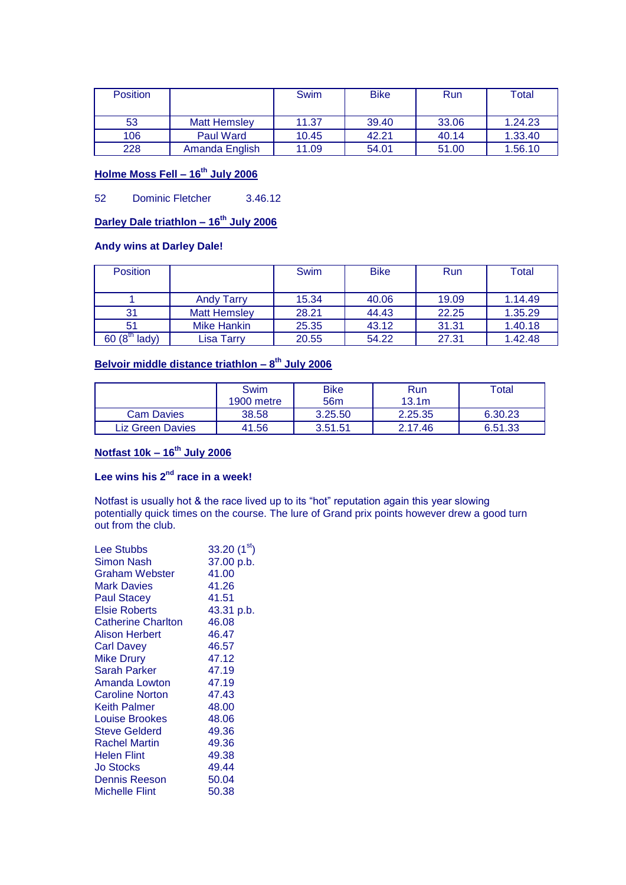| <b>Position</b> |                     | <b>Swim</b> | <b>Bike</b> | Run   | Total   |
|-----------------|---------------------|-------------|-------------|-------|---------|
| 53              | <b>Matt Hemsley</b> | 11.37       | 39.40       | 33.06 | 1.24.23 |
| 106             | Paul Ward           | 10.45       | 42.21       | 40.14 | 1.33.40 |
| 228             | Amanda English      | 11.09       | 54.01       | 51.00 | 1.56.10 |

### **Holme Moss Fell – 16th July 2006**

52 Dominic Fletcher 3.46.12

### **Darley Dale triathlon – 16th July 2006**

### **Andy wins at Darley Dale!**

| <b>Position</b>              |                     | <b>Swim</b> | <b>Bike</b> | <b>Run</b> | Total   |
|------------------------------|---------------------|-------------|-------------|------------|---------|
|                              |                     |             |             |            |         |
|                              | <b>Andy Tarry</b>   | 15.34       | 40.06       | 19.09      | 1.14.49 |
| 31                           | <b>Matt Hemsley</b> | 28.21       | 44.43       | 22.25      | 1.35.29 |
| 51                           | Mike Hankin         | 25.35       | 43.12       | 31.31      | 1.40.18 |
| 60(8 <sup>u</sup> )<br>lady) | Lisa Tarrv          | 20.55       | 54.22       | 27.31      | 1.42.48 |

#### **Belvoir middle distance triathlon – 8 th July 2006**

|                   | Swim<br>1900 metre | <b>Bike</b><br>56 <sub>m</sub> | Run<br>13.1 <sub>m</sub> | ™otal   |
|-------------------|--------------------|--------------------------------|--------------------------|---------|
| <b>Cam Davies</b> | 38.58              | 3.25.50                        | 2.25.35                  | 6.30.23 |
| Liz Green Davies  | 41.56              | 3.51.51                        | 2.17.46                  | 6.51.33 |

### **Notfast 10k – 16th July 2006**

## **Lee wins his 2nd race in a week!**

Notfast is usually hot & the race lived up to its "hot" reputation again this year slowing potentially quick times on the course. The lure of Grand prix points however drew a good turn out from the club.

| Lee Stubbs                | 33.20 $(1st)$ |
|---------------------------|---------------|
| <b>Simon Nash</b>         | 37.00 p.b.    |
| Graham Webster            | 41.00         |
| <b>Mark Davies</b>        | 41.26         |
| <b>Paul Stacey</b>        | 41.51         |
| <b>Elsie Roberts</b>      | 43.31 p.b.    |
| <b>Catherine Charlton</b> | 46.08         |
| Alison Herbert            | 46.47         |
| <b>Carl Davey</b>         | 46.57         |
| <b>Mike Drury</b>         | 47.12         |
| Sarah Parker              | 47.19         |
| Amanda Lowton             | 47.19         |
| <b>Caroline Norton</b>    | 47.43         |
| Keith Palmer              | 48.00         |
| <b>Louise Brookes</b>     | 48.06         |
| <b>Steve Gelderd</b>      | 49.36         |
| Rachel Martin             | 49.36         |
| <b>Helen Flint</b>        | 49.38         |
| Jo Stocks                 | 49.44         |
| Dennis Reeson             | 50.04         |
| Michelle Flint            | 50.38         |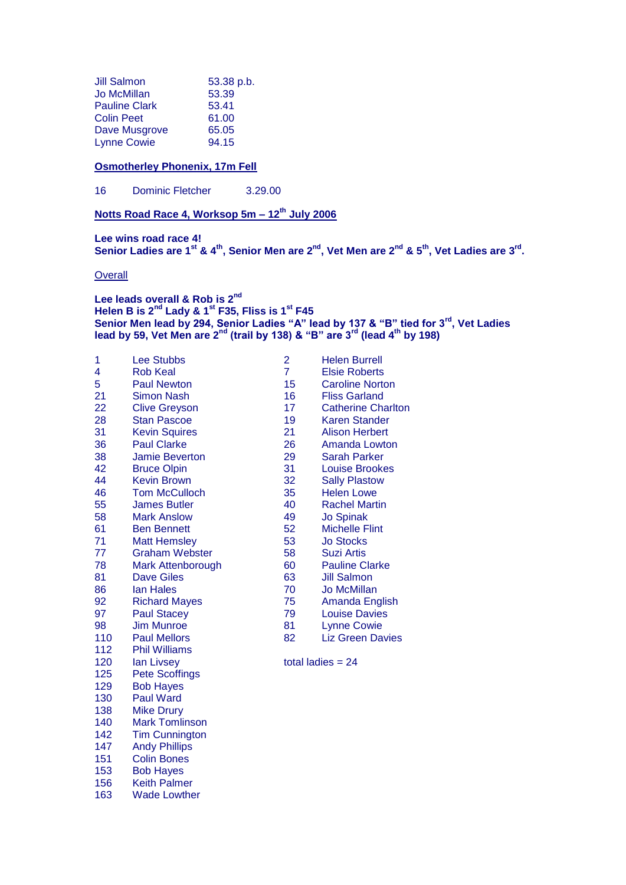| <b>Jill Salmon</b>   | 53.38 p.b. |
|----------------------|------------|
| <b>Jo McMillan</b>   | 53.39      |
| <b>Pauline Clark</b> | 53.41      |
| <b>Colin Peet</b>    | 61.00      |
| Dave Musgrove        | 65.05      |
| <b>Lynne Cowie</b>   | 94.15      |

#### **Osmotherley Phonenix, 17m Fell**

Dominic Fletcher 3.29.00

**Notts Road Race 4, Worksop 5m – 12th July 2006**

**Lee wins road race 4! Senior Ladies are 1st & 4th, Senior Men are 2nd, Vet Men are 2nd & 5th, Vet Ladies are 3rd .**

**Overall** 

153 Bob Hayes<br>156 Keith Palme 156 Keith Palmer<br>163 Wade Lowthe

Wade Lowther

**Lee leads overall & Rob is 2nd Helen B is 2nd Lady & 1st F35, Fliss is 1st F45 Senior Men lead by 294, Senior Ladies "A" lead by 137 & "B" tied for 3rd, Vet Ladies lead by 59, Vet Men are 2nd (trail by 138) & "B" are 3rd (lead 4th by 198)**

| 1   | <b>Lee Stubbs</b>        | $\overline{2}$ | <b>Helen Burrell</b>      |
|-----|--------------------------|----------------|---------------------------|
| 4   | <b>Rob Keal</b>          | $\overline{7}$ | <b>Elsie Roberts</b>      |
| 5   | <b>Paul Newton</b>       | 15             | <b>Caroline Norton</b>    |
| 21  | <b>Simon Nash</b>        | 16             | <b>Fliss Garland</b>      |
| 22  | <b>Clive Greyson</b>     | 17             | <b>Catherine Charlton</b> |
| 28  | <b>Stan Pascoe</b>       | 19             | Karen Stander             |
| 31  | <b>Kevin Squires</b>     | 21             | <b>Alison Herbert</b>     |
| 36  | <b>Paul Clarke</b>       | 26             | Amanda Lowton             |
| 38  | <b>Jamie Beverton</b>    | 29             | <b>Sarah Parker</b>       |
| 42  | <b>Bruce Olpin</b>       | 31             | <b>Louise Brookes</b>     |
| 44  | <b>Kevin Brown</b>       | 32             | <b>Sally Plastow</b>      |
| 46  | <b>Tom McCulloch</b>     | 35             | <b>Helen Lowe</b>         |
| 55  | <b>James Butler</b>      | 40             | <b>Rachel Martin</b>      |
| 58  | <b>Mark Anslow</b>       | 49             | <b>Jo Spinak</b>          |
| 61  | <b>Ben Bennett</b>       | 52             | <b>Michelle Flint</b>     |
| 71  | <b>Matt Hemsley</b>      | 53             | <b>Jo Stocks</b>          |
| 77  | <b>Graham Webster</b>    | 58             | <b>Suzi Artis</b>         |
| 78  | <b>Mark Attenborough</b> | 60             | <b>Pauline Clarke</b>     |
| 81  | <b>Dave Giles</b>        | 63             | <b>Jill Salmon</b>        |
| 86  | <b>lan Hales</b>         | 70             | <b>Jo McMillan</b>        |
| 92  | <b>Richard Mayes</b>     | 75             | Amanda English            |
| 97  | <b>Paul Stacey</b>       | 79             | <b>Louise Davies</b>      |
| 98  | <b>Jim Munroe</b>        | 81             | <b>Lynne Cowie</b>        |
| 110 | <b>Paul Mellors</b>      | 82             | <b>Liz Green Davies</b>   |
| 112 | <b>Phil Williams</b>     |                |                           |
| 120 | lan Livsey               |                | total ladies $= 24$       |
| 125 | <b>Pete Scoffings</b>    |                |                           |
| 129 | <b>Bob Hayes</b>         |                |                           |
| 130 | <b>Paul Ward</b>         |                |                           |
| 138 | <b>Mike Drury</b>        |                |                           |
| 140 | <b>Mark Tomlinson</b>    |                |                           |
| 142 | <b>Tim Cunnington</b>    |                |                           |
| 147 | <b>Andy Phillips</b>     |                |                           |
| 151 | <b>Colin Bones</b>       |                |                           |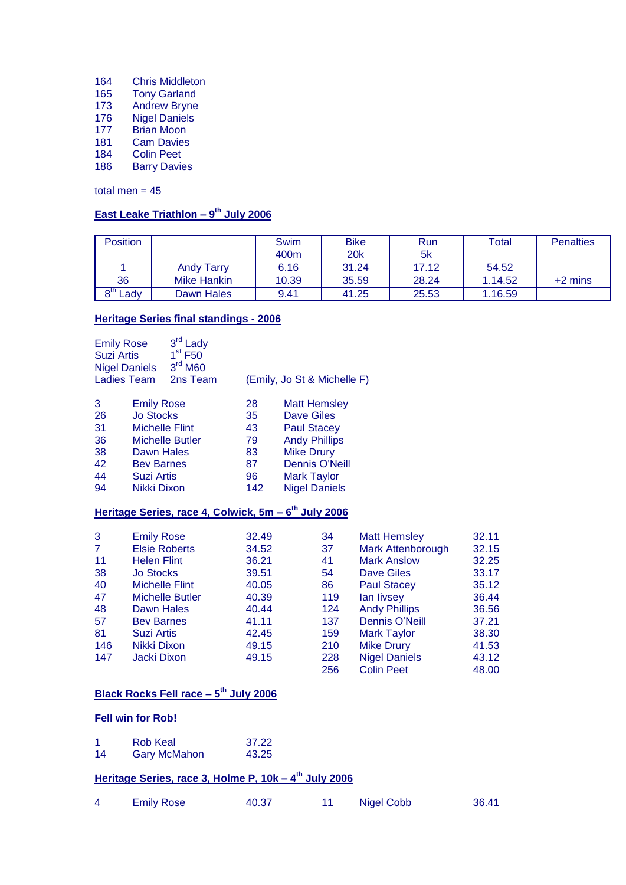- Chris Middleton
- Tony Garland
- Andrew Bryne
- Nigel Daniels
- Brian Moon
- Cam Davies
- Colin Peet
- Barry Davies

total men  $= 45$ 

#### **East Leake Triathlon – 9 th July 2006**

| <b>Position</b>                |                    | Swim  | <b>Bike</b> | Run   | Total   | <b>Penalties</b> |
|--------------------------------|--------------------|-------|-------------|-------|---------|------------------|
|                                |                    | 400m  | 20k         | 5k    |         |                  |
|                                | <b>Andy Tarry</b>  | 6.16  | 31.24       | 17.12 | 54.52   |                  |
| 36                             | <b>Mike Hankin</b> | 10.39 | 35.59       | 28.24 | 1.14.52 | $+2$ mins        |
| $\mathsf{h}$<br>$\text{c}$ ady | Dawn Hales         | 9.41  | 41.25       | 25.53 | 1.16.59 |                  |

### **Heritage Series final standings - 2006**

| <b>Emily Rose</b><br><b>Suzi Artis</b><br><b>Nigel Daniels</b> |                   | 3 <sup>rd</sup> Lady<br>$1st$ F50<br>3 <sup>rd</sup> M60 |                             |                      |  |
|----------------------------------------------------------------|-------------------|----------------------------------------------------------|-----------------------------|----------------------|--|
| <b>Ladies Team</b>                                             |                   | 2ns Team                                                 | (Emily, Jo St & Michelle F) |                      |  |
| 3                                                              | <b>Emily Rose</b> |                                                          | 28                          | <b>Matt Hemsley</b>  |  |
| 26                                                             | <b>Jo Stocks</b>  |                                                          | 35                          | Dave Giles           |  |
| 31                                                             |                   | <b>Michelle Flint</b>                                    | 43                          | <b>Paul Stacey</b>   |  |
| 36                                                             |                   | <b>Michelle Butler</b>                                   | 79                          | <b>Andy Phillips</b> |  |
| 38                                                             | Dawn Hales        |                                                          | 83                          | <b>Mike Drury</b>    |  |
| 42                                                             | <b>Bev Barnes</b> |                                                          | 87                          | Dennis O'Neill       |  |
| 44                                                             | <b>Suzi Artis</b> |                                                          | 96                          | <b>Mark Taylor</b>   |  |
| 94                                                             | Nikki Dixon       |                                                          | 142                         | <b>Nigel Daniels</b> |  |

#### **Heritage Series, race 4, Colwick, 5m – 6 th July 2006**

| 3              | <b>Emily Rose</b>      | 32.49 | 34  | <b>Matt Hemsley</b>      | 32.11 |
|----------------|------------------------|-------|-----|--------------------------|-------|
| $\overline{7}$ | <b>Elsie Roberts</b>   | 34.52 | 37  | <b>Mark Attenborough</b> | 32.15 |
| 11             | <b>Helen Flint</b>     | 36.21 | 41  | <b>Mark Anslow</b>       | 32.25 |
| 38             | <b>Jo Stocks</b>       | 39.51 | 54  | Dave Giles               | 33.17 |
| 40             | <b>Michelle Flint</b>  | 40.05 | 86  | <b>Paul Stacey</b>       | 35.12 |
| 47             | <b>Michelle Butler</b> | 40.39 | 119 | lan livsey               | 36.44 |
| 48             | Dawn Hales             | 40.44 | 124 | <b>Andy Phillips</b>     | 36.56 |
| 57             | <b>Bev Barnes</b>      | 41.11 | 137 | Dennis O'Neill           | 37.21 |
| 81             | Suzi Artis             | 42.45 | 159 | <b>Mark Taylor</b>       | 38.30 |
| 146            | Nikki Dixon            | 49.15 | 210 | <b>Mike Drury</b>        | 41.53 |
| 147            | Jacki Dixon            | 49.15 | 228 | <b>Nigel Daniels</b>     | 43.12 |
|                |                        |       | 256 | <b>Colin Peet</b>        | 48.00 |

#### **Black Rocks Fell race – 5 th July 2006**

#### **Fell win for Rob!**

| 1  | Rob Keal            | 37.22 |
|----|---------------------|-------|
| 14 | <b>Gary McMahon</b> | 43.25 |

#### **Heritage Series, race 3, Holme P, 10k – 4 th July 2006**

| <b>Emily Rose</b> | 40.37 | Nigel Cobb | 36.41 |
|-------------------|-------|------------|-------|